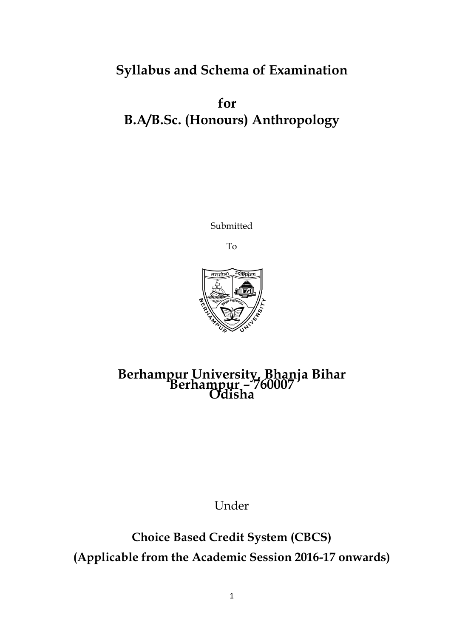# **Syllabus and Schema of Examination**

**for B.A/B.Sc. (Honours) Anthropology**

Submitted

To



# **Berhampur University, Bhanja Bihar Berhampur – <sup>760007</sup> Odisha**

Under

**Choice Based Credit System (CBCS) (Applicable from the Academic Session 2016-17 onwards)**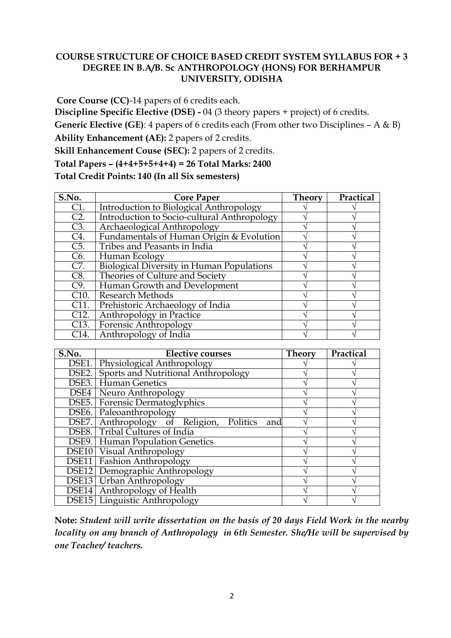# **COURSE STRUCTURE OF CHOICE BASED CREDIT SYSTEM SYLLABUS FOR + 3 DEGREE IN B.A/B. Sc ANTHROPOLOGY (HONS) FOR BERHAMPUR UNIVERSITY, ODISHA**

**Core Course (CC)**-14 papers of 6 credits each.

**Discipline Specific Elective (DSE) -** 04 (3 theory papers + project) of 6 credits.

**Generic Elective (GE)**: 4 papers of 6 credits each (From other two Disciplines – A & B)

**Ability Enhancement (AE):** 2 papers of 2 credits.

**Skill Enhancement Couse (SEC):** 2 papers of 2 credits.

**Total Papers – (4+4+5+5+4+4) = 26 Total Marks: 2400** 

**Total Credit Points: 140 (In all Six semesters)**

| S.No.             | <b>Core Paper</b>                                | <b>Theory</b> | Practical |
|-------------------|--------------------------------------------------|---------------|-----------|
| C1.               | <b>Introduction to Biological Anthropology</b>   |               |           |
| $C2$ .            | Introduction to Socio-cultural Anthropology      |               |           |
| C3.               | Archaeological Anthropology                      |               |           |
| C4.               | Fundamentals of Human Origin & Evolution         |               |           |
| C5.               | Tribes and Peasants in India                     |               |           |
| C <sub>6</sub> .  | Human Ecology                                    |               |           |
| C7.               | <b>Biological Diversity in Human Populations</b> |               |           |
| C8.               | Theories of Culture and Society                  |               |           |
| C9.               | Human Growth and Development                     |               |           |
| C10.              | <b>Research Methods</b>                          |               |           |
| C <sub>11</sub>   | Prehistoric Archaeology of India                 |               |           |
| C12.              | Anthropology in Practice                         |               |           |
| C <sub>13</sub> . | Forensic Anthropology                            |               |           |
| C <sub>14</sub> . | Anthropology of India                            |               |           |

| $\overline{\textbf{S}}.\overline{\textbf{No}}.$ | <b>Elective courses</b>                            | <b>Theory</b> | Practical |
|-------------------------------------------------|----------------------------------------------------|---------------|-----------|
| DSE1.                                           | Physiological Anthropology                         |               |           |
|                                                 | DSE2. Sports and Nutritional Anthropology          |               |           |
|                                                 | <b>DSE3.</b> Human Genetics                        |               |           |
|                                                 | DSE4   Neuro Anthropology                          |               |           |
|                                                 | DSE5. Forensic Dermatoglyphics                     |               |           |
|                                                 | DSE6. Paleoanthropology                            |               |           |
|                                                 | DSE7. Anthropology of Religion,<br>Politics<br>and |               |           |
|                                                 | DSE8. Tribal Cultures of India                     |               |           |
|                                                 | <b>DSE9.</b> Human Population Genetics             |               |           |
|                                                 | <b>DSE10</b> Visual Anthropology                   |               |           |
| DSE11                                           | <b>Fashion Anthropology</b>                        |               |           |
|                                                 | <b>DSE12</b> Demographic Anthropology              |               |           |
|                                                 | <b>DSE13</b> Urban Anthropology                    |               |           |
| DSE <sub>14</sub>                               | Anthropology of Health                             |               |           |
|                                                 | DSE15   Linguistic Anthropology                    |               |           |

**Note:** *Student will write dissertation on the basis of 20 days Field Work in the nearby locality on any branch of Anthropology in 6th Semester. She/He will be supervised by one Teacher/ teachers.*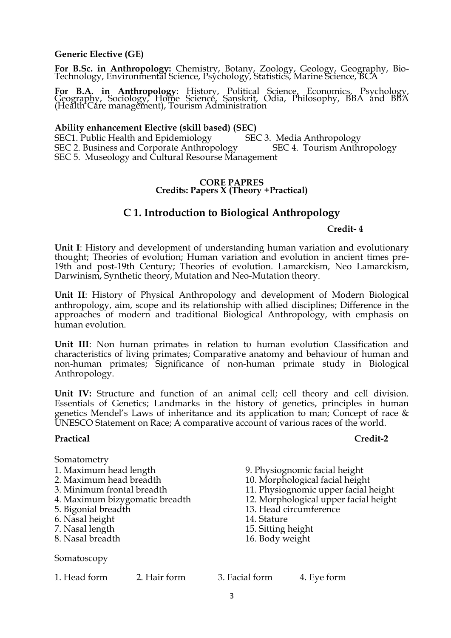#### **Generic Elective (GE)**

**For B.Sc. in Anthropology:** Chemistry, Botany, Zoology, Geology, Geography, Bio-Technology, Environmental Science, Psychology, Statistics, Marine Science, BCA

**For B.A. in Anthropology**: History, Political Science, Economics, Psychology, Geography, Sociology, Home Science, Sanskrit, Odia, Philosophy, BBA and BBA (Health Care management), Tourism Administration

#### **Ability enhancement Elective (skill based) (SEC)**

SEC1. Public Health and Epidemiology SEC 3. Media Anthropology SEC 2. Business and Corporate Anthropology SEC 4. Tourism Anthropology SEC 5. Museology and Cultural Resourse Management

#### **CORE PAPRES Credits: Papers X (Theory +Practical)**

# **C 1. Introduction to Biological Anthropology**

#### **Credit- 4**

**Unit I**: History and development of understanding human variation and evolutionary thought; Theories of evolution; Human variation and evolution in ancient times pre-19th and post-19th Century; Theories of evolution. Lamarckism, Neo Lamarckism, Darwinism, Synthetic theory, Mutation and Neo-Mutation theory.

**Unit II**: History of Physical Anthropology and development of Modern Biological anthropology, aim, scope and its relationship with allied disciplines; Difference in the approaches of modern and traditional Biological Anthropology, with emphasis on human evolution.

**Unit III**: Non human primates in relation to human evolution Classification and characteristics of living primates; Comparative anatomy and behaviour of human and non-human primates; Significance of non-human primate study in Biological Anthropology.

**Unit IV:** Structure and function of an animal cell; cell theory and cell division. Essentials of Genetics; Landmarks in the history of genetics, principles in human genetics Mendel's Laws of inheritance and its application to man; Concept of race & UNESCO Statement on Race; A comparative account of various races of the world.

#### **Practical Credit-2**

| Somatometry                    |              |                    |                                       |
|--------------------------------|--------------|--------------------|---------------------------------------|
| 1. Maximum head length         |              |                    | 9. Physiognomic facial height         |
| 2. Maximum head breadth        |              |                    | 10. Morphological facial height       |
| 3. Minimum frontal breadth     |              |                    | 11. Physiognomic upper facial height  |
| 4. Maximum bizygomatic breadth |              |                    | 12. Morphological upper facial height |
| 5. Bigonial breadth            |              |                    | 13. Head circumference                |
| 6. Nasal height                |              | 14. Stature        |                                       |
| 7. Nasal length                |              | 15. Sitting height |                                       |
| 8. Nasal breadth               |              | 16. Body weight    |                                       |
| Somatoscopy                    |              |                    |                                       |
| 1. Head form                   | 2. Hair form | 3. Facial form     | 4. Eye form                           |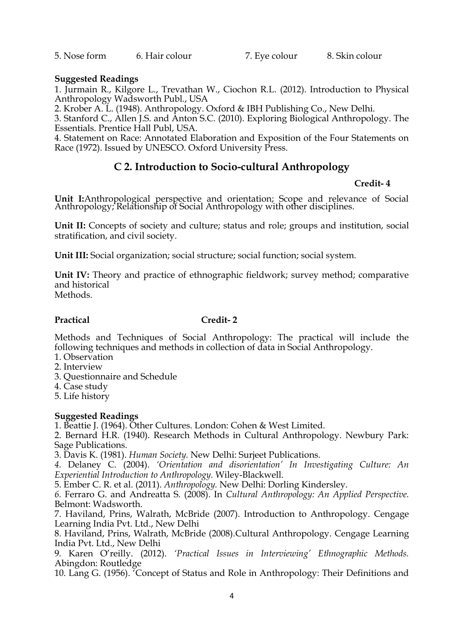5. Nose form 6. Hair colour 7. Eye colour 8. Skin colour

### **Suggested Readings**

1. Jurmain R., Kilgore L., Trevathan W., Ciochon R.L. (2012). Introduction to Physical Anthropology Wadsworth Publ., USA

2. Krober A. L. (1948). Anthropology. Oxford & IBH Publishing Co., New Delhi.

3. Stanford C., Allen J.S. and Anton S.C. (2010). Exploring Biological Anthropology. The Essentials. Prentice Hall Publ, USA.

4. Statement on Race: Annotated Elaboration and Exposition of the Four Statements on Race (1972). Issued by UNESCO. Oxford University Press.

# **C 2. Introduction to Socio-cultural Anthropology**

#### **Credit- 4**

**Unit I:**Anthropological perspective and orientation; Scope and relevance of Social Anthropology; Relationship of Social Anthropology with other disciplines.

Unit II: Concepts of society and culture; status and role; groups and institution, social stratification, and civil society.

**Unit III:** Social organization; social structure; social function; social system.

**Unit IV:** Theory and practice of ethnographic fieldwork; survey method; comparative and historical Methods.

### **Practical Credit- 2**

Methods and Techniques of Social Anthropology: The practical will include the following techniques and methods in collection of data in Social Anthropology.

- 1. Observation
- 2. Interview
- 3. Questionnaire and Schedule
- 4. Case study
- 5. Life history

### **Suggested Readings**

1. Beattie J. (1964). Other Cultures. London: Cohen & West Limited.

2. Bernard H.R. (1940). Research Methods in Cultural Anthropology. Newbury Park: Sage Publications.

3. Davis K. (1981). *Human Society.* New Delhi: Surjeet Publications.

*4.* Delaney C. (2004). *'Orientation and disorientation' In Investigating Culture: An Experiential Introduction to Anthropology.* Wiley-Blackwell.

5. Ember C. R. et al. (2011). *Anthropology.* New Delhi: Dorling Kindersley.

*6.* Ferraro G. and Andreatta S. (2008). In *Cultural Anthropology: An Applied Perspective.*  Belmont: Wadsworth.

7. Haviland, Prins, Walrath, McBride (2007). Introduction to Anthropology. Cengage Learning India Pvt. Ltd., New Delhi

8. Haviland, Prins, Walrath, McBride (2008).Cultural Anthropology. Cengage Learning India Pvt. Ltd., New Delhi

9*.* Karen O'reilly. (2012). *'Practical Issues in Interviewing' Ethnographic Methods.*  Abingdon: Routledge

10. Lang G. (1956). 'Concept of Status and Role in Anthropology: Their Definitions and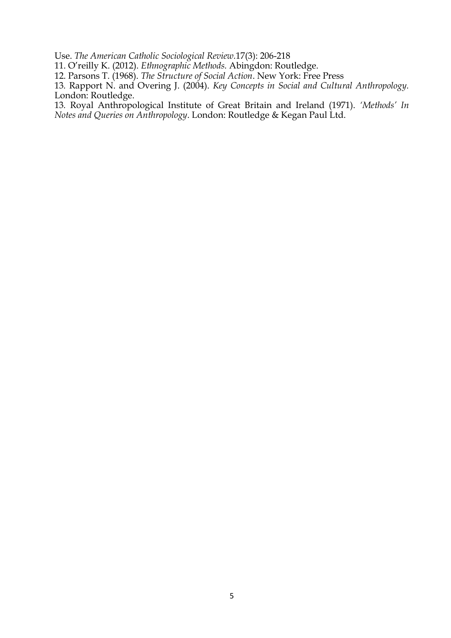Use. *The American Catholic Sociological Review.*17(3): 206-218

11. O'reilly K. (2012). *Ethnographic Methods.* Abingdon: Routledge.

12. Parsons T. (1968). *The Structure of Social Action*. New York: Free Press

13*.* Rapport N. and Overing J. (2004). *Key Concepts in Social and Cultural Anthropology.*  London: Routledge.

13*.* Royal Anthropological Institute of Great Britain and Ireland (1971). *'Methods' In Notes and Queries on Anthropology*. London: Routledge & Kegan Paul Ltd.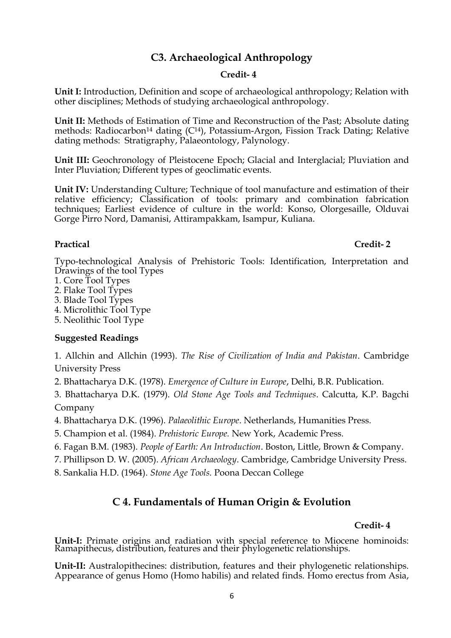# **C3. Archaeological Anthropology**

### **Credit- 4**

**Unit I:** Introduction, Definition and scope of archaeological anthropology; Relation with other disciplines; Methods of studying archaeological anthropology.

**Unit II:** Methods of Estimation of Time and Reconstruction of the Past; Absolute dating methods: Radiocarbon<sup>14</sup> dating (C<sup>14</sup>), Potassium-Argon, Fission Track Dating; Relative dating methods: Stratigraphy, Palaeontology, Palynology.

**Unit III:** Geochronology of Pleistocene Epoch; Glacial and Interglacial; Pluviation and Inter Pluviation; Different types of geoclimatic events.

**Unit IV:** Understanding Culture; Technique of tool manufacture and estimation of their relative efficiency; Classification of tools: primary and combination fabrication techniques; Earliest evidence of culture in the world: Konso, Olorgesaille, Olduvai Gorge Pirro Nord, Damanisi, Attirampakkam, Isampur, Kuliana.

#### **Practical Credit- 2**

Typo-technological Analysis of Prehistoric Tools: Identification, Interpretation and Drawings of the tool Types

- 1. Core Tool Types
- 2. Flake Tool Types
- 3. Blade Tool Types
- 4. Microlithic Tool Type
- 5. Neolithic Tool Type

### **Suggested Readings**

1. Allchin and Allchin (1993). *The Rise of Civilization of India and Pakistan*. Cambridge University Press

2. Bhattacharya D.K. (1978). *Emergence of Culture in Europe*, Delhi, B.R. Publication.

3. Bhattacharya D.K. (1979). *Old Stone Age Tools and Techniques*. Calcutta, K.P. Bagchi Company

4. Bhattacharya D.K. (1996). *Palaeolithic Europe*. Netherlands, Humanities Press.

- 5. Champion et al. (1984). *Prehistoric Europe.* New York, Academic Press.
- 6. Fagan B.M. (1983). *People of Earth: An Introduction*. Boston, Little, Brown & Company.
- 7. Phillipson D. W. (2005). *African Archaeology*. Cambridge, Cambridge University Press.
- 8. Sankalia H.D. (1964). *Stone Age Tools.* Poona Deccan College

# **C 4. Fundamentals of Human Origin & Evolution**

#### **Credit- 4**

**Unit-I:** Primate origins and radiation with special reference to Miocene hominoids: Ramapithecus, distribution, features and their phylogenetic relationships.

**Unit-II:** Australopithecines: distribution, features and their phylogenetic relationships. Appearance of genus Homo (Homo habilis) and related finds. Homo erectus from Asia,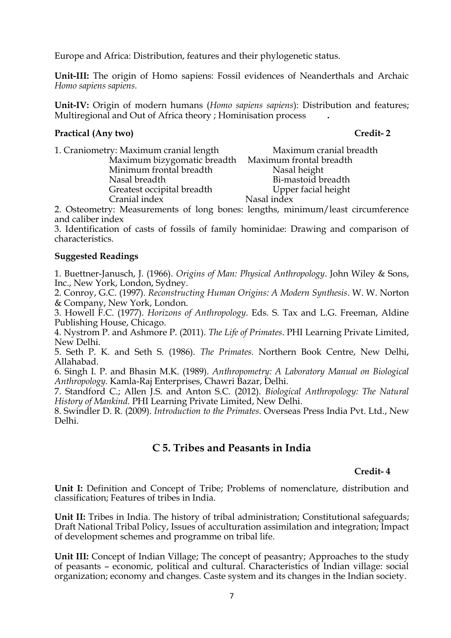Europe and Africa: Distribution, features and their phylogenetic status.

**Unit-III:** The origin of Homo sapiens: Fossil evidences of Neanderthals and Archaic *Homo sapiens sapiens.*

**Unit-IV:** Origin of modern humans (*Homo sapiens sapiens*): Distribution and features; Multiregional and Out of Africa theory ; Hominisation process **.**

#### **Practical (Any two) Credit- 2**

| 1. Craniometry: Maximum cranial length | Maximum cranial breadth |
|----------------------------------------|-------------------------|
| Maximum bizygomatic breadth            | Maximum frontal breadth |
| Minimum frontal breadth                | Nasal height            |
| Nasal breadth                          | Bi-mastoid breadth      |
| Greatest occipital breadth             | Upper facial height     |
| Cranial index                          | Nasal index             |

2. Osteometry: Measurements of long bones: lengths, minimum/least circumference and caliber index

3. Identification of casts of fossils of family hominidae: Drawing and comparison of characteristics.

### **Suggested Readings**

1. Buettner-Janusch, J. (1966). *Origins of Man: Physical Anthropology*. John Wiley & Sons, Inc., New York, London, Sydney.

2. Conroy, G.C. (1997)*. Reconstructing Human Origins: A Modern Synthesis*. W. W. Norton & Company, New York, London.

3. Howell F.C. (1977). *Horizons of Anthropology*. Eds. S. Tax and L.G. Freeman, Aldine Publishing House, Chicago.

4. Nystrom P. and Ashmore P. (2011). *The Life of Primates*. PHI Learning Private Limited, New Delhi.

5. Seth P. K. and Seth S. (1986). *The Primates.* Northern Book Centre, New Delhi, Allahabad.

6. Singh I. P. and Bhasin M.K. (1989). *Anthropometry: A Laboratory Manual on Biological Anthropology.* Kamla-Raj Enterprises, Chawri Bazar, Delhi.

7. Standford C.; Allen J.S. and Anton S.C. (2012). *Biological Anthropology: The Natural History of Mankind.* PHI Learning Private Limited, New Delhi.

8. Swindler D. R. (2009). *Introduction to the Primates*. Overseas Press India Pvt. Ltd., New Delhi.

# **C 5. Tribes and Peasants in India**

### **Credit- 4**

**Unit I:** Definition and Concept of Tribe; Problems of nomenclature, distribution and classification; Features of tribes in India.

**Unit II:** Tribes in India. The history of tribal administration; Constitutional safeguards; Draft National Tribal Policy, Issues of acculturation assimilation and integration; Impact of development schemes and programme on tribal life.

**Unit III:** Concept of Indian Village; The concept of peasantry; Approaches to the study of peasants – economic, political and cultural. Characteristics of Indian village: social organization; economy and changes. Caste system and its changes in the Indian society.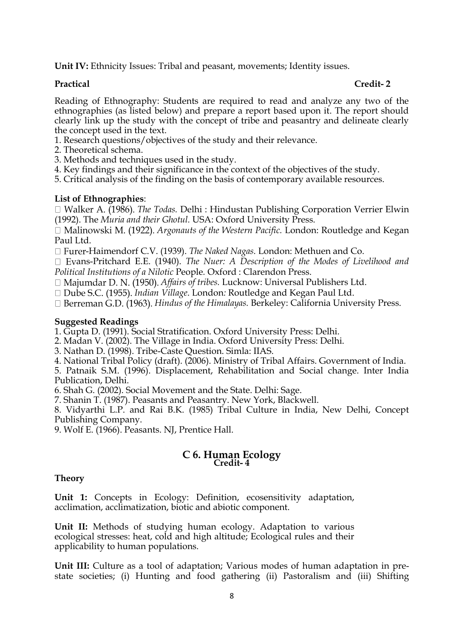**Unit IV:** Ethnicity Issues: Tribal and peasant, movements; Identity issues.

#### **Practical Credit- 2**

Reading of Ethnography: Students are required to read and analyze any two of the ethnographies (as listed below) and prepare a report based upon it. The report should clearly link up the study with the concept of tribe and peasantry and delineate clearly the concept used in the text.

- 1. Research questions/objectives of the study and their relevance.
- 2. Theoretical schema.
- 3. Methods and techniques used in the study.
- 4. Key findings and their significance in the context of the objectives of the study.
- 5. Critical analysis of the finding on the basis of contemporary available resources.

#### **List of Ethnographies**:

*The Todas.* Delhi : Hindustan Publishing Corporation Verrier Elwin (1992). The *Muria and their Ghotul.* USA: Oxford University Press.

*Argonauts of the Western Pacific.* London: Routledge and Kegan Paul Ltd.

□ Furer-Haimendorf C.V. (1939). *The Naked Nagas*. London: Methuen and Co.

□ Evans-Pritchard E.E. (1940). *The Nuer: A Description of the Modes of Livelihood and Political Institutions of a Nilotic* People*.* Oxford : Clarendon Press.

□ Majumdar D. N. (1950). *Affairs of tribes.* Lucknow: Universal Publishers Ltd.

*Indian Village*. London*:* Routledge and Kegan Paul Ltd.

*Hindus of the Himalayas.* Berkeley: California University Press.

#### **Suggested Readings**

1. Gupta D. (1991). Social Stratification. Oxford University Press: Delhi.

2. Madan V. (2002). The Village in India. Oxford University Press: Delhi.

3. Nathan D. (1998). Tribe-Caste Question. Simla: IIAS.

4. National Tribal Policy (draft). (2006). Ministry of Tribal Affairs. Government of India.

5. Patnaik S.M. (1996). Displacement, Rehabilitation and Social change. Inter India Publication, Delhi.

6. Shah G. (2002). Social Movement and the State. Delhi: Sage.

7. Shanin T. (1987). Peasants and Peasantry. New York, Blackwell.

8. Vidyarthi L.P. and Rai B.K. (1985) Tribal Culture in India, New Delhi, Concept Publishing Company.

9. Wolf E. (1966). Peasants. NJ, Prentice Hall.

#### **C 6. Human Ecology Credit- 4**

#### **Theory**

**Unit 1:** Concepts in Ecology: Definition, ecosensitivity adaptation, acclimation, acclimatization, biotic and abiotic component.

**Unit II:** Methods of studying human ecology. Adaptation to various ecological stresses: heat, cold and high altitude; Ecological rules and their applicability to human populations.

**Unit III:** Culture as a tool of adaptation; Various modes of human adaptation in prestate societies; (i) Hunting and food gathering (ii) Pastoralism and (iii) Shifting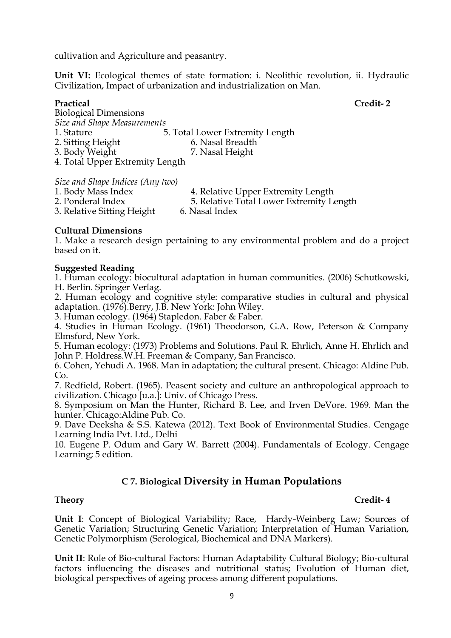cultivation and Agriculture and peasantry.

Unit VI: Ecological themes of state formation: i. Neolithic revolution, ii. Hydraulic Civilization, Impact of urbanization and industrialization on Man.

# **Practical Credit- 2** Biological Dimensions *Size and Shape Measurements* 1. Stature 5. Total Lower Extremity Length 2. Sitting Height 6. Nasal Breadth 3. Body Weight 7. Nasal Height 4. Total Upper Extremity Length

*Size and Shape Indices (Any two)*

| 1. Body Mass Index         | 4. Relative Upper Extremity Length       |
|----------------------------|------------------------------------------|
| 2. Ponderal Index          | 5. Relative Total Lower Extremity Length |
| 3. Relative Sitting Height | 6. Nasal Index                           |

#### **Cultural Dimensions**

1. Make a research design pertaining to any environmental problem and do a project based on it.

#### **Suggested Reading**

1. Human ecology: biocultural adaptation in human communities. (2006) Schutkowski, H. Berlin. Springer Verlag.

2. Human ecology and cognitive style: comparative studies in cultural and physical adaptation. (1976). Berry, J.B. New York: John Wiley.

3. Human ecology. (1964) Stapledon. Faber & Faber.

4. Studies in Human Ecology. (1961) Theodorson, G.A. Row, Peterson & Company Elmsford, New York.

5. Human ecology: (1973) Problems and Solutions. Paul R. Ehrlich, Anne H. Ehrlich and John P. Holdress.W.H. Freeman & Company, San Francisco.

6. Cohen, Yehudi A. 1968. Man in adaptation; the cultural present. Chicago: Aldine Pub. Co.

7. Redfield, Robert. (1965). Peasent society and culture an anthropological approach to civilization. Chicago [u.a.]: Univ. of Chicago Press.

8. Symposium on Man the Hunter, Richard B. Lee, and Irven DeVore. 1969. Man the hunter. Chicago:Aldine Pub. Co.

9. Dave Deeksha & S.S. Katewa (2012). Text Book of Environmental Studies. Cengage Learning India Pvt. Ltd., Delhi

10. Eugene P. Odum and Gary W. Barrett (2004). Fundamentals of Ecology. Cengage Learning; 5 edition.

# **C 7. Biological Diversity in Human Populations**

### **Theory Credit- 4**

**Unit I**: Concept of Biological Variability; Race, Hardy-Weinberg Law; Sources of Genetic Variation; Structuring Genetic Variation; Interpretation of Human Variation, Genetic Polymorphism (Serological, Biochemical and DNA Markers).

**Unit II**: Role of Bio-cultural Factors: Human Adaptability Cultural Biology; Bio-cultural factors influencing the diseases and nutritional status; Evolution of Human diet, biological perspectives of ageing process among different populations.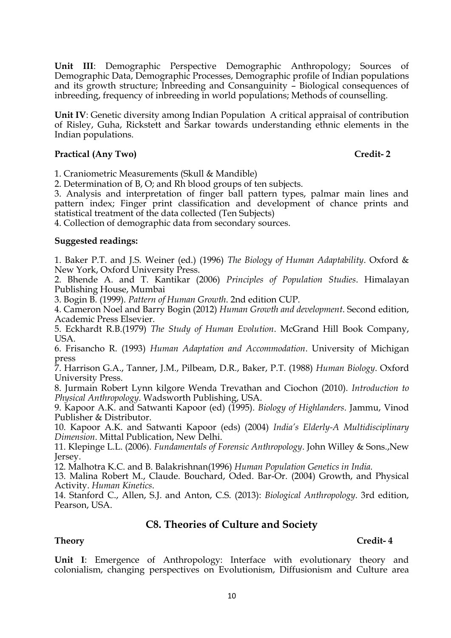**Unit III**: Demographic Perspective Demographic Anthropology; Sources of Demographic Data, Demographic Processes, Demographic profile of Indian populations and its growth structure; Inbreeding and Consanguinity – Biological consequences of inbreeding, frequency of inbreeding in world populations; Methods of counselling.

**Unit IV**: Genetic diversity among Indian Population A critical appraisal of contribution of Risley, Guha, Rickstett and Sarkar towards understanding ethnic elements in the Indian populations.

#### Practical (Any Two) Credit-2

1. Craniometric Measurements (Skull & Mandible)

2. Determination of B, O; and Rh blood groups of ten subjects.

3. Analysis and interpretation of finger ball pattern types, palmar main lines and pattern index; Finger print classification and development of chance prints and statistical treatment of the data collected (Ten Subjects)

4. Collection of demographic data from secondary sources.

#### **Suggested readings:**

1. Baker P.T. and J.S. Weiner (ed.) (1996) *The Biology of Human Adaptability*. Oxford & New York, Oxford University Press.

2. Bhende A. and T. Kantikar (2006) *Principles of Population Studies*. Himalayan Publishing House, Mumbai

3. Bogin B. (1999). *Pattern of Human Growth*. 2nd edition CUP.

4. Cameron Noel and Barry Bogin (2012) *Human Growth and development*. Second edition, Academic Press Elsevier.

5. Eckhardt R.B.(1979) *The Study of Human Evolution*. McGrand Hill Book Company, USA.

6. Frisancho R. (1993) *Human Adaptation and Accommodation*. University of Michigan press

7. Harrison G.A., Tanner, J.M., Pilbeam, D.R., Baker, P.T. (1988) *Human Biology*. Oxford University Press.

8. Jurmain Robert Lynn kilgore Wenda Trevathan and Ciochon (2010). *Introduction to Physical Anthropology*. Wadsworth Publishing, USA.

9. Kapoor A.K. and Satwanti Kapoor (ed) (1995). *Biology of Highlanders*. Jammu, Vinod Publisher & Distributor.

10. Kapoor A.K. and Satwanti Kapoor (eds) (2004) *India's Elderly-A Multidisciplinary Dimension*. Mittal Publication, New Delhi.

11. Klepinge L.L. (2006). *Fundamentals of Forensic Anthropology*. John Willey & Sons.,New Jersey.

12. Malhotra K.C. and B. Balakrishnan(1996) *Human Population Genetics in India.*

13. Malina Robert M., Claude. Bouchard, Oded. Bar-Or. (2004) Growth, and Physical Activity. *Human Kinetics*.

14. Stanford C., Allen, S.J. and Anton, C.S. (2013): *Biological Anthropology*. 3rd edition, Pearson, USA.

# **C8. Theories of Culture and Society**

### **Theory Credit- 4**

**Unit I**: Emergence of Anthropology: Interface with evolutionary theory and colonialism, changing perspectives on Evolutionism, Diffusionism and Culture area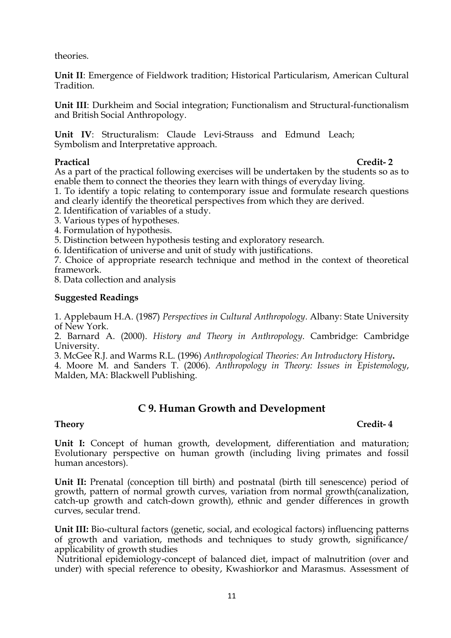theories.

**Unit II**: Emergence of Fieldwork tradition; Historical Particularism, American Cultural Tradition.

**Unit III**: Durkheim and Social integration; Functionalism and Structural-functionalism and British Social Anthropology.

**Unit IV**: Structuralism: Claude Levi-Strauss and Edmund Leach; Symbolism and Interpretative approach.

**Practical Credit- 2** As a part of the practical following exercises will be undertaken by the students so as to enable them to connect the theories they learn with things of everyday living.

1. To identify a topic relating to contemporary issue and formulate research questions and clearly identify the theoretical perspectives from which they are derived.

2. Identification of variables of a study.

- 3. Various types of hypotheses.
- 4. Formulation of hypothesis.

5. Distinction between hypothesis testing and exploratory research.

6. Identification of universe and unit of study with justifications.

7. Choice of appropriate research technique and method in the context of theoretical framework.

8. Data collection and analysis

#### **Suggested Readings**

1. Applebaum H.A. (1987) *Perspectives in Cultural Anthropology*. Albany: State University of New York.

2. Barnard A. (2000). *History and Theory in Anthropology*. Cambridge: Cambridge University.

3. McGee R.J. and Warms R.L. (1996) *Anthropological Theories: An Introductory History***.**

4. Moore M. and Sanders T. (2006). *Anthropology in Theory: Issues in Epistemology*, Malden, MA: Blackwell Publishing.

# **C 9. Human Growth and Development**

### **Theory Credit- 4**

**Unit I:** Concept of human growth, development, differentiation and maturation; Evolutionary perspective on human growth (including living primates and fossil human ancestors).

**Unit II:** Prenatal (conception till birth) and postnatal (birth till senescence) period of growth, pattern of normal growth curves, variation from normal growth(canalization, catch-up growth and catch-down growth), ethnic and gender differences in growth curves, secular trend.

**Unit III:** Bio-cultural factors (genetic, social, and ecological factors) influencing patterns of growth and variation, methods and techniques to study growth, significance/ applicability of growth studies

Nutritional epidemiology-concept of balanced diet, impact of malnutrition (over and under) with special reference to obesity, Kwashiorkor and Marasmus. Assessment of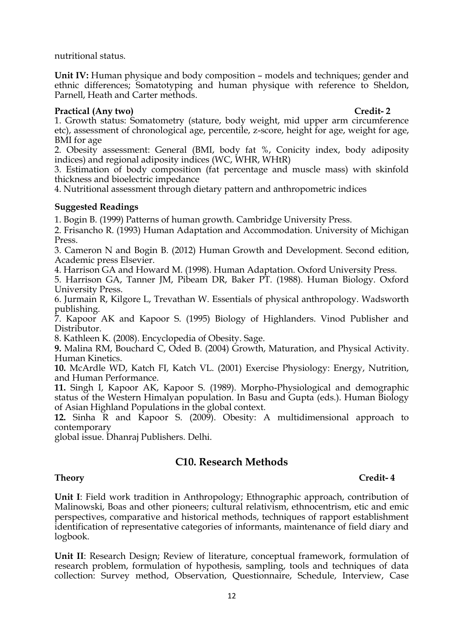nutritional status.

**Unit IV:** Human physique and body composition – models and techniques; gender and ethnic differences; Somatotyping and human physique with reference to Sheldon, Parnell, Heath and Carter methods.

### Practical (Any two) Credit-2

1. Growth status: Somatometry (stature, body weight, mid upper arm circumference etc), assessment of chronological age, percentile, z-score, height for age, weight for age, BMI for age

2. Obesity assessment: General (BMI, body fat %, Conicity index, body adiposity indices) and regional adiposity indices (WC, WHR, WHtR)

3. Estimation of body composition (fat percentage and muscle mass) with skinfold thickness and bioelectric impedance

4. Nutritional assessment through dietary pattern and anthropometric indices

### **Suggested Readings**

1. Bogin B. (1999) Patterns of human growth. Cambridge University Press.

2. Frisancho R. (1993) Human Adaptation and Accommodation. University of Michigan Press.

3. Cameron N and Bogin B. (2012) Human Growth and Development. Second edition, Academic press Elsevier.

4. Harrison GA and Howard M. (1998). Human Adaptation. Oxford University Press.

5. Harrison GA, Tanner JM, Pibeam DR, Baker PT. (1988). Human Biology. Oxford University Press.

6. Jurmain R, Kilgore L, Trevathan W. Essentials of physical anthropology. Wadsworth publishing.

7. Kapoor AK and Kapoor S. (1995) Biology of Highlanders. Vinod Publisher and Distributor.

8. Kathleen K. (2008). Encyclopedia of Obesity. Sage.

**9.** Malina RM, Bouchard C, Oded B. (2004) Growth, Maturation, and Physical Activity. Human Kinetics.

**10.** McArdle WD, Katch FI, Katch VL. (2001) Exercise Physiology: Energy, Nutrition, and Human Performance.

**11.** Singh I, Kapoor AK, Kapoor S. (1989). Morpho-Physiological and demographic status of the Western Himalyan population. In Basu and Gupta (eds.). Human Biology of Asian Highland Populations in the global context.

**12.** Sinha R and Kapoor S. (2009). Obesity: A multidimensional approach to contemporary

global issue. Dhanraj Publishers. Delhi.

# **C10. Research Methods**

# **Theory Credit- 4**

**Unit I**: Field work tradition in Anthropology; Ethnographic approach, contribution of Malinowski, Boas and other pioneers; cultural relativism, ethnocentrism, etic and emic perspectives, comparative and historical methods, techniques of rapport establishment identification of representative categories of informants, maintenance of field diary and logbook.

**Unit II**: Research Design; Review of literature, conceptual framework, formulation of research problem, formulation of hypothesis, sampling, tools and techniques of data collection: Survey method, Observation, Questionnaire, Schedule, Interview, Case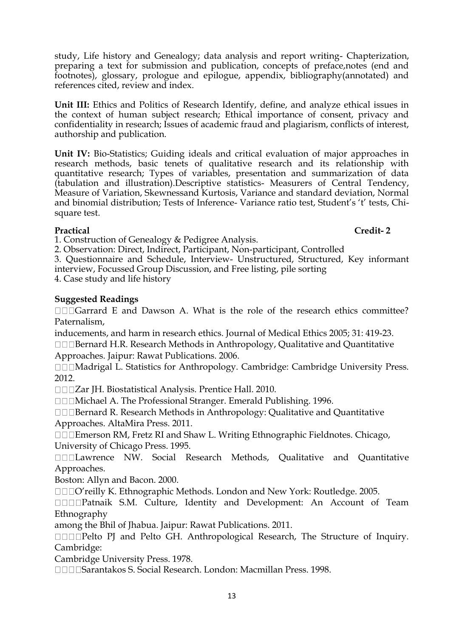study, Life history and Genealogy; data analysis and report writing- Chapterization, preparing a text for submission and publication, concepts of preface,notes (end and footnotes), glossary, prologue and epilogue, appendix, bibliography(annotated) and references cited, review and index.

**Unit III:** Ethics and Politics of Research Identify, define, and analyze ethical issues in the context of human subject research; Ethical importance of consent, privacy and confidentiality in research; Issues of academic fraud and plagiarism, conflicts of interest, authorship and publication.

**Unit IV:** Bio-Statistics; Guiding ideals and critical evaluation of major approaches in research methods, basic tenets of qualitative research and its relationship with quantitative research; Types of variables, presentation and summarization of data (tabulation and illustration).Descriptive statistics- Measurers of Central Tendency, Measure of Variation, Skewnessand Kurtosis, Variance and standard deviation, Normal and binomial distribution; Tests of Inference- Variance ratio test, Student's 't' tests, Chisquare test.

**Practical Credit- 2**

1. Construction of Genealogy & Pedigree Analysis.

2. Observation: Direct, Indirect, Participant, Non-participant, Controlled

3. Questionnaire and Schedule, Interview- Unstructured, Structured, Key informant interview, Focussed Group Discussion, and Free listing, pile sorting

4. Case study and life history

### **Suggested Readings**

 $\square \square \square$ Garrard E and Dawson A. What is the role of the research ethics committee? Paternalism,

inducements, and harm in research ethics. Journal of Medical Ethics 2005; 31: 419-23. Bernard H.R. Research Methods in Anthropology, Qualitative and Quantitative

Approaches. Jaipur: Rawat Publications. 2006.

□□□Madrigal L. Statistics for Anthropology. Cambridge: Cambridge University Press. 2012.

Zar JH. Biostatistical Analysis. Prentice Hall. 2010.

□□□Michael A. The Professional Stranger. Emerald Publishing. 1996.

Bernard R. Research Methods in Anthropology: Qualitative and Quantitative

Approaches. AltaMira Press. 2011.

□□□Emerson RM, Fretz RI and Shaw L. Writing Ethnographic Fieldnotes. Chicago, University of Chicago Press. 1995.

**IIILawrence NW. Social Research Methods, Qualitative and Quantitative** Approaches.

Boston: Allyn and Bacon. 2000.

O'reilly K. Ethnographic Methods. London and New York: Routledge. 2005.

**DIDDPatnaik S.M. Culture, Identity and Development: An Account of Team** Ethnography

among the Bhil of Jhabua. Jaipur: Rawat Publications. 2011.

**DEDPelto PJ** and Pelto GH. Anthropological Research, The Structure of Inquiry. Cambridge:

Cambridge University Press. 1978.

Sarantakos S. Social Research. London: Macmillan Press. 1998.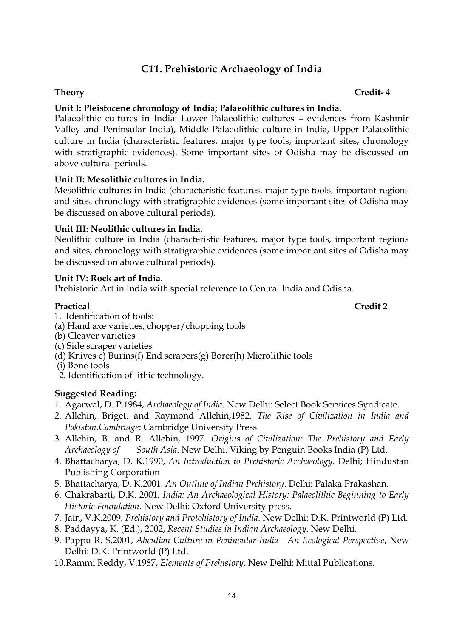# **C11. Prehistoric Archaeology of India**

# **Theory Credit- 4**

# **Unit I: Pleistocene chronology of India; Palaeolithic cultures in India.**

Palaeolithic cultures in India: Lower Palaeolithic cultures – evidences from Kashmir Valley and Peninsular India), Middle Palaeolithic culture in India, Upper Palaeolithic culture in India (characteristic features, major type tools, important sites, chronology with stratigraphic evidences). Some important sites of Odisha may be discussed on above cultural periods.

# **Unit II: Mesolithic cultures in India.**

Mesolithic cultures in India (characteristic features, major type tools, important regions and sites, chronology with stratigraphic evidences (some important sites of Odisha may be discussed on above cultural periods).

### **Unit III: Neolithic cultures in India.**

Neolithic culture in India (characteristic features, major type tools, important regions and sites, chronology with stratigraphic evidences (some important sites of Odisha may be discussed on above cultural periods).

### **Unit IV: Rock art of India.**

Prehistoric Art in India with special reference to Central India and Odisha.

- Practical **Credit 2** 1. Identification of tools:
- (a) Hand axe varieties, chopper/chopping tools
- (b) Cleaver varieties
- (c) Side scraper varieties
- $(d)$  Knives e) Burins(f) End scrapers(g) Borer(h) Microlithic tools
- (i) Bone tools
- 2. Identification of lithic technology.

# **Suggested Reading:**

- 1. Agarwal, D. P.1984, *Archaeology of India*. New Delhi: Select Book Services Syndicate.
- 2. Allchin, Briget. and Raymond Allchin,1982. *The Rise of Civilization in India and Pakistan.Cambridge*: Cambridge University Press.
- 3. Allchin, B. and R. Allchin, 1997. *Origins of Civilization: The Prehistory and Early Archaeology of South Asia*. New Delhi. Viking by Penguin Books India (P) Ltd.
- 4. Bhattacharya, D. K.1990, *An Introduction to Prehistoric Archaeology*. Delhi; Hindustan Publishing Corporation
- 5. Bhattacharya, D. K.2001. *An Outline of Indian Prehistory*. Delhi: Palaka Prakashan.
- 6. Chakrabarti, D.K. 2001. *India: An Archaeological History: Palaeolithic Beginning to Early Historic Foundation*. New Delhi: Oxford University press.
- 7. Jain, V.K.2009, *Prehistory and Protohistory of India*. New Delhi: D.K. Printworld (P) Ltd.
- 8. Paddayya, K. (Ed.), 2002, *Recent Studies in Indian Archaeology*. New Delhi.
- 9. Pappu R. S.2001, *Aheulian Culture in Peninsular India-- An Ecological Perspective*, New Delhi: D.K. Printworld (P) Ltd.
- 10.Rammi Reddy, V.1987, *Elements of Prehistory*. New Delhi: Mittal Publications.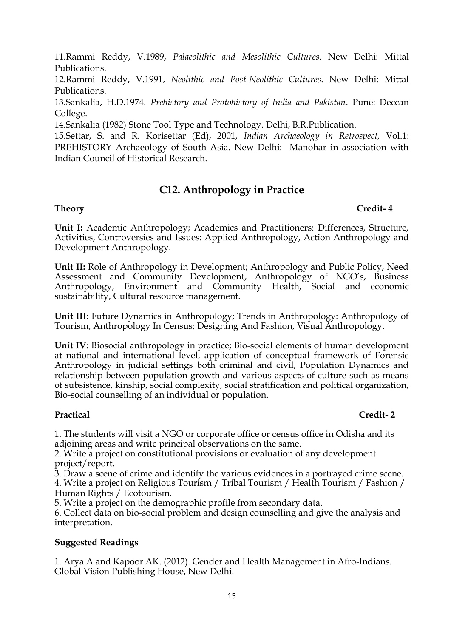11.Rammi Reddy, V.1989, *Palaeolithic and Mesolithic Cultures*. New Delhi: Mittal Publications.

12.Rammi Reddy, V.1991, *Neolithic and Post-Neolithic Cultures*. New Delhi: Mittal Publications.

13.Sankalia, H.D.1974. *Prehistory and Protohistory of India and Pakistan*. Pune: Deccan College.

14.Sankalia (1982) Stone Tool Type and Technology. Delhi, B.R.Publication.

15.Settar, S. and R. Korisettar (Ed), 2001, *Indian Archaeology in Retrospect,* Vol.1: PREHISTORY Archaeology of South Asia. New Delhi: Manohar in association with Indian Council of Historical Research.

# **C12. Anthropology in Practice**

### **Theory Credit- 4**

**Unit I:** Academic Anthropology; Academics and Practitioners: Differences, Structure, Activities, Controversies and Issues: Applied Anthropology, Action Anthropology and Development Anthropology.

**Unit II:** Role of Anthropology in Development; Anthropology and Public Policy, Need Assessment and Community Development, Anthropology of NGO's, Business Anthropology, Environment and Community Health, Social and economic sustainability, Cultural resource management.

**Unit III:** Future Dynamics in Anthropology; Trends in Anthropology: Anthropology of Tourism, Anthropology In Census; Designing And Fashion, Visual Anthropology.

**Unit IV**: Biosocial anthropology in practice; Bio-social elements of human development at national and international level, application of conceptual framework of Forensic Anthropology in judicial settings both criminal and civil, Population Dynamics and relationship between population growth and various aspects of culture such as means of subsistence, kinship, social complexity, social stratification and political organization, Bio-social counselling of an individual or population.

# **Practical Credit- 2**

1. The students will visit a NGO or corporate office or census office in Odisha and its adjoining areas and write principal observations on the same.

2. Write a project on constitutional provisions or evaluation of any development project/report.

3. Draw a scene of crime and identify the various evidences in a portrayed crime scene. 4. Write a project on Religious Tourism / Tribal Tourism / Health Tourism / Fashion / Human Rights / Ecotourism.

5. Write a project on the demographic profile from secondary data.

6. Collect data on bio-social problem and design counselling and give the analysis and interpretation.

# **Suggested Readings**

1. Arya A and Kapoor AK. (2012). Gender and Health Management in Afro-Indians. Global Vision Publishing House, New Delhi.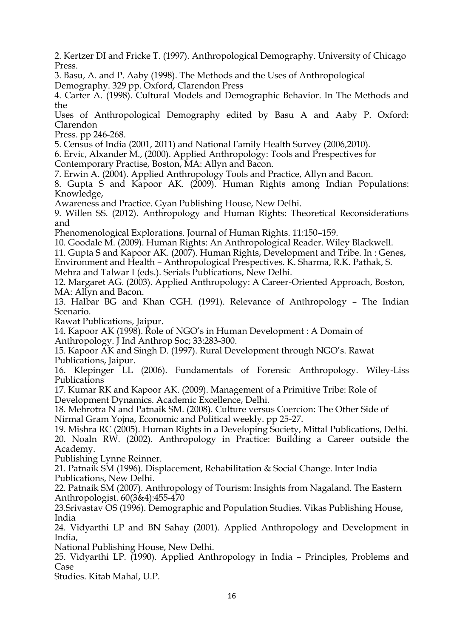2. Kertzer DI and Fricke T. (1997). Anthropological Demography. University of Chicago Press.

3. Basu, A. and P. Aaby (1998). The Methods and the Uses of Anthropological Demography. 329 pp. Oxford, Clarendon Press

4. Carter A. (1998). Cultural Models and Demographic Behavior. In The Methods and the

Uses of Anthropological Demography edited by Basu A and Aaby P. Oxford: Clarendon

Press. pp 246-268.

5. Census of India (2001, 2011) and National Family Health Survey (2006,2010).

6. Ervic, Alxander M., (2000). Applied Anthropology: Tools and Prespectives for

Contemporary Practise, Boston, MA: Allyn and Bacon.

7. Erwin A. (2004). Applied Anthropology Tools and Practice, Allyn and Bacon.

8. Gupta S and Kapoor AK. (2009). Human Rights among Indian Populations: Knowledge,

Awareness and Practice. Gyan Publishing House, New Delhi.

9. Willen SS. (2012). Anthropology and Human Rights: Theoretical Reconsiderations and

Phenomenological Explorations. Journal of Human Rights. 11:150–159.

10. Goodale M. (2009). Human Rights: An Anthropological Reader. Wiley Blackwell.

11. Gupta S and Kapoor AK. (2007). Human Rights, Development and Tribe. In : Genes,

Environment and Health – Anthropological Prespectives. K. Sharma, R.K. Pathak, S.

Mehra and Talwar I (eds.). Serials Publications, New Delhi.

12. Margaret AG. (2003). Applied Anthropology: A Career-Oriented Approach, Boston, MA: Allyn and Bacon.

13. Halbar BG and Khan CGH. (1991). Relevance of Anthropology – The Indian Scenario.

Rawat Publications, Jaipur.

14. Kapoor AK (1998). Role of NGO's in Human Development : A Domain of Anthropology. J Ind Anthrop Soc; 33:283-300.

15. Kapoor AK and Singh D. (1997). Rural Development through NGO's. Rawat Publications, Jaipur.

16. Klepinger LL (2006). Fundamentals of Forensic Anthropology. Wiley-Liss Publications

17. Kumar RK and Kapoor AK. (2009). Management of a Primitive Tribe: Role of Development Dynamics. Academic Excellence, Delhi.

18. Mehrotra N and Patnaik SM. (2008). Culture versus Coercion: The Other Side of Nirmal Gram Yojna, Economic and Political weekly. pp 25-27.

19. Mishra RC (2005). Human Rights in a Developing Society, Mittal Publications, Delhi. 20. Noaln RW. (2002). Anthropology in Practice: Building a Career outside the Academy.

Publishing Lynne Reinner.

21. Patnaik SM (1996). Displacement, Rehabilitation & Social Change. Inter India Publications, New Delhi.

22. Patnaik SM (2007). Anthropology of Tourism: Insights from Nagaland. The Eastern Anthropologist. 60(3&4):455-470

23.Srivastav OS (1996). Demographic and Population Studies. Vikas Publishing House, India

24. Vidyarthi LP and BN Sahay (2001). Applied Anthropology and Development in India,

National Publishing House, New Delhi.

25. Vidyarthi LP. (1990). Applied Anthropology in India – Principles, Problems and Case

Studies. Kitab Mahal, U.P.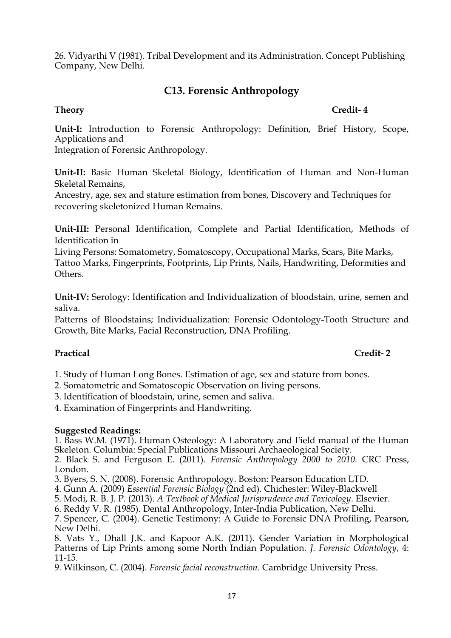26. Vidyarthi V (1981). Tribal Development and its Administration. Concept Publishing Company, New Delhi.

# **C13. Forensic Anthropology**

### **Theory Credit- 4**

**Unit-I:** Introduction to Forensic Anthropology: Definition, Brief History, Scope, Applications and

Integration of Forensic Anthropology.

**Unit-II:** Basic Human Skeletal Biology, Identification of Human and Non-Human Skeletal Remains,

Ancestry, age, sex and stature estimation from bones, Discovery and Techniques for recovering skeletonized Human Remains.

**Unit-III:** Personal Identification, Complete and Partial Identification, Methods of Identification in

Living Persons: Somatometry, Somatoscopy, Occupational Marks, Scars, Bite Marks, Tattoo Marks, Fingerprints, Footprints, Lip Prints, Nails, Handwriting, Deformities and Others.

**Unit-IV:** Serology: Identification and Individualization of bloodstain, urine, semen and saliva.

Patterns of Bloodstains; Individualization: Forensic Odontology-Tooth Structure and Growth, Bite Marks, Facial Reconstruction, DNA Profiling.

# **Practical Credit- 2**

1. Study of Human Long Bones. Estimation of age, sex and stature from bones.

2. Somatometric and Somatoscopic Observation on living persons.

3. Identification of bloodstain, urine, semen and saliva.

4. Examination of Fingerprints and Handwriting.

### **Suggested Readings:**

1. Bass W.M. (1971). Human Osteology: A Laboratory and Field manual of the Human Skeleton. Columbia: Special Publications Missouri Archaeological Society.

2. Black S. and Ferguson E. (2011). *Forensic Anthropology 2000 to 2010.* CRC Press, London.

3. Byers, S. N. (2008). Forensic Anthropology. Boston: Pearson Education LTD.

4. Gunn A. (2009) *Essential Forensic Biology* (2nd ed). Chichester: Wiley-Blackwell

5. Modi, R. B. J. P. (2013). *A Textbook of Medical Jurisprudence and Toxicology*. Elsevier.

6. Reddy V. R. (1985). Dental Anthropology, Inter-India Publication, New Delhi.

7. Spencer, C. (2004). Genetic Testimony: A Guide to Forensic DNA Profiling, Pearson, New Delhi.

8. Vats Y., Dhall J.K. and Kapoor A.K. (2011). Gender Variation in Morphological Patterns of Lip Prints among some North Indian Population. *J. Forensic Odontology*, 4: 11-15.

9. Wilkinson, C. (2004). *Forensic facial reconstruction*. Cambridge University Press.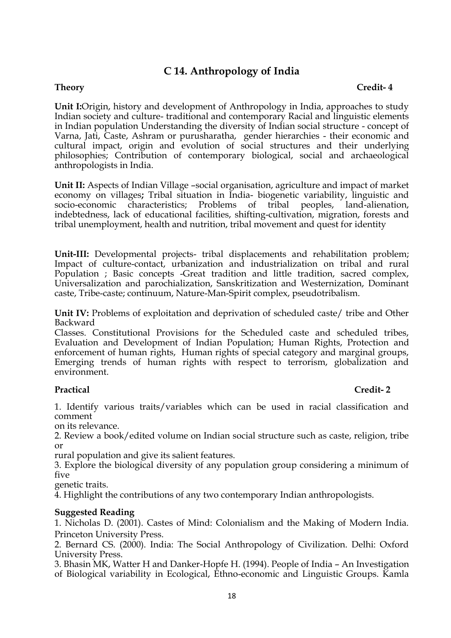# **C 14. Anthropology of India**

### **Theory Credit- 4**

**Unit I:**Origin, history and development of Anthropology in India, approaches to study Indian society and culture- traditional and contemporary Racial and linguistic elements in Indian population Understanding the diversity of Indian social structure - concept of Varna, Jati, Caste, Ashram or purusharatha, gender hierarchies - their economic and cultural impact, origin and evolution of social structures and their underlying philosophies; Contribution of contemporary biological, social and archaeological anthropologists in India.

**Unit II:** Aspects of Indian Village –social organisation, agriculture and impact of market economy on villages**;** Tribal situation in India- biogenetic variability, linguistic and socio-economic characteristics; Problems of tribal peoples, land-alienation, indebtedness, lack of educational facilities, shifting-cultivation, migration, forests and tribal unemployment, health and nutrition, tribal movement and quest for identity

**Unit-III:** Developmental projects- tribal displacements and rehabilitation problem; Impact of culture-contact, urbanization and industrialization on tribal and rural Population ; Basic concepts -Great tradition and little tradition, sacred complex, Universalization and parochialization, Sanskritization and Westernization, Dominant caste, Tribe-caste; continuum, Nature-Man-Spirit complex, pseudotribalism.

**Unit IV:** Problems of exploitation and deprivation of scheduled caste/ tribe and Other Backward

Classes. Constitutional Provisions for the Scheduled caste and scheduled tribes, Evaluation and Development of Indian Population; Human Rights, Protection and enforcement of human rights, Human rights of special category and marginal groups, Emerging trends of human rights with respect to terrorism, globalization and environment.

### **Practical Credit- 2**

1. Identify various traits/variables which can be used in racial classification and comment

on its relevance.

2. Review a book/edited volume on Indian social structure such as caste, religion, tribe or

rural population and give its salient features.

3. Explore the biological diversity of any population group considering a minimum of five

genetic traits.

4. Highlight the contributions of any two contemporary Indian anthropologists.

#### **Suggested Reading**

1. Nicholas D. (2001). Castes of Mind: Colonialism and the Making of Modern India. Princeton University Press.

2. Bernard CS. (2000). India: The Social Anthropology of Civilization. Delhi: Oxford University Press.

3. Bhasin MK, Watter H and Danker-Hopfe H. (1994). People of India – An Investigation of Biological variability in Ecological, Ethno-economic and Linguistic Groups. Kamla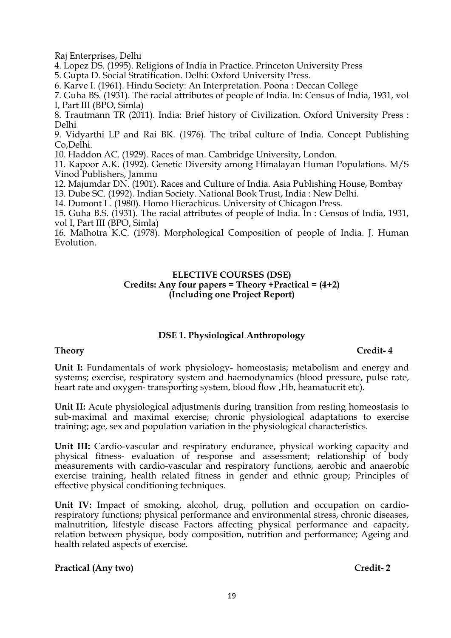Raj Enterprises, Delhi

4. Lopez DS. (1995). Religions of India in Practice. Princeton University Press

5. Gupta D. Social Stratification. Delhi: Oxford University Press.

6. Karve I. (1961). Hindu Society: An Interpretation. Poona : Deccan College

7. Guha BS. (1931). The racial attributes of people of India. In: Census of India, 1931, vol I, Part III (BPO, Simla)

8. Trautmann TR (2011). India: Brief history of Civilization. Oxford University Press : Delhi

9. Vidyarthi LP and Rai BK. (1976). The tribal culture of India. Concept Publishing Co,Delhi.

10. Haddon AC. (1929). Races of man. Cambridge University, London.

11. Kapoor A.K. (1992). Genetic Diversity among Himalayan Human Populations. M/S Vinod Publishers, Jammu

12. Majumdar DN. (1901). Races and Culture of India. Asia Publishing House, Bombay

13. Dube SC. (1992). Indian Society. National Book Trust, India : New Delhi.

14. Dumont L. (1980). Homo Hierachicus. University of Chicagon Press.

15. Guha B.S. (1931). The racial attributes of people of India. In : Census of India, 1931, vol I, Part III (BPO, Simla)

16. Malhotra K.C. (1978). Morphological Composition of people of India. J. Human Evolution.

#### **ELECTIVE COURSES (DSE) Credits: Any four papers = Theory +Practical = (4+2) (Including one Project Report)**

### **DSE 1. Physiological Anthropology**

#### **Theory Credit- 4**

**Unit I:** Fundamentals of work physiology- homeostasis; metabolism and energy and systems; exercise, respiratory system and haemodynamics (blood pressure, pulse rate, heart rate and oxygen-transporting system, blood flow, Hb, heamatocrit etc).

**Unit II:** Acute physiological adjustments during transition from resting homeostasis to sub-maximal and maximal exercise; chronic physiological adaptations to exercise training; age, sex and population variation in the physiological characteristics.

**Unit III:** Cardio-vascular and respiratory endurance, physical working capacity and physical fitness- evaluation of response and assessment; relationship of body measurements with cardio-vascular and respiratory functions, aerobic and anaerobic exercise training, health related fitness in gender and ethnic group; Principles of effective physical conditioning techniques.

**Unit IV:** Impact of smoking, alcohol, drug, pollution and occupation on cardiorespiratory functions; physical performance and environmental stress, chronic diseases, malnutrition, lifestyle disease Factors affecting physical performance and capacity, relation between physique, body composition, nutrition and performance; Ageing and health related aspects of exercise.

#### **Practical (Any two) Credit- 2**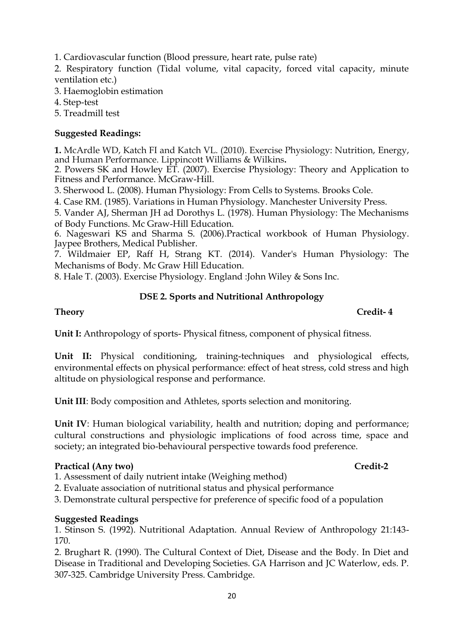1. Cardiovascular function (Blood pressure, heart rate, pulse rate)

2. Respiratory function (Tidal volume, vital capacity, forced vital capacity, minute ventilation etc.)

3. Haemoglobin estimation

4. Step-test

5. Treadmill test

# **Suggested Readings:**

**1.** McArdle WD, Katch FI and Katch VL. (2010). Exercise Physiology: Nutrition, Energy, and Human Performance. Lippincott Williams & Wilkins**.**

2. Powers SK and Howley ET. (2007). Exercise Physiology: Theory and Application to Fitness and Performance. McGraw-Hill.

3. Sherwood L. (2008). Human Physiology: From Cells to Systems. Brooks Cole.

4. Case RM. (1985). Variations in Human Physiology. Manchester University Press.

5. Vander AJ, Sherman JH ad Dorothys L. (1978). Human Physiology: The Mechanisms of Body Functions. Mc Graw-Hill Education.

6. Nageswari KS and Sharma S. (2006).Practical workbook of Human Physiology. Jaypee Brothers, Medical Publisher.

7. Wildmaier EP, Raff H, Strang KT. (2014). Vander's Human Physiology: The Mechanisms of Body. Mc Graw Hill Education.

8. Hale T. (2003). Exercise Physiology. England :John Wiley & Sons Inc.

# **DSE 2. Sports and Nutritional Anthropology**

### **Theory Credit- 4**

**Unit I:** Anthropology of sports- Physical fitness, component of physical fitness.

**Unit II:** Physical conditioning, training-techniques and physiological effects, environmental effects on physical performance: effect of heat stress, cold stress and high altitude on physiological response and performance.

**Unit III**: Body composition and Athletes, sports selection and monitoring.

**Unit IV:** Human biological variability, health and nutrition; doping and performance; cultural constructions and physiologic implications of food across time, space and society; an integrated bio-behavioural perspective towards food preference.

### **Practical (Any two) Credit-2**

1. Assessment of daily nutrient intake (Weighing method)

2. Evaluate association of nutritional status and physical performance

3. Demonstrate cultural perspective for preference of specific food of a population

# **Suggested Readings**

1. Stinson S. (1992). Nutritional Adaptation. Annual Review of Anthropology 21:143- 170.

2. Brughart R. (1990). The Cultural Context of Diet, Disease and the Body. In Diet and Disease in Traditional and Developing Societies. GA Harrison and JC Waterlow, eds. P. 307-325. Cambridge University Press. Cambridge.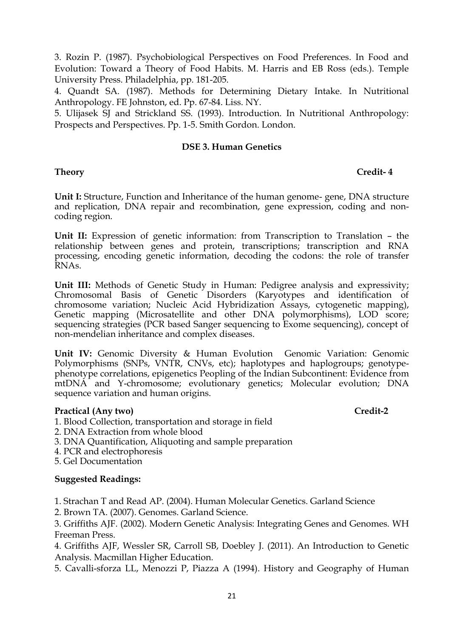3. Rozin P. (1987). Psychobiological Perspectives on Food Preferences. In Food and Evolution: Toward a Theory of Food Habits. M. Harris and EB Ross (eds.). Temple University Press. Philadelphia, pp. 181-205.

4. Quandt SA. (1987). Methods for Determining Dietary Intake. In Nutritional Anthropology. FE Johnston, ed. Pp. 67-84. Liss. NY.

5. Ulijasek SJ and Strickland SS. (1993). Introduction. In Nutritional Anthropology: Prospects and Perspectives. Pp. 1-5. Smith Gordon. London.

### **DSE 3. Human Genetics**

# **Theory Credit- 4**

**Unit I:** Structure, Function and Inheritance of the human genome- gene, DNA structure and replication, DNA repair and recombination, gene expression, coding and noncoding region.

**Unit II:** Expression of genetic information: from Transcription to Translation – the relationship between genes and protein, transcriptions; transcription and RNA processing, encoding genetic information, decoding the codons: the role of transfer RNAs.

**Unit III:** Methods of Genetic Study in Human: Pedigree analysis and expressivity; Chromosomal Basis of Genetic Disorders (Karyotypes and identification of chromosome variation; Nucleic Acid Hybridization Assays, cytogenetic mapping), Genetic mapping (Microsatellite and other DNA polymorphisms), LOD score; sequencing strategies (PCR based Sanger sequencing to Exome sequencing), concept of non-mendelian inheritance and complex diseases.

**Unit IV:** Genomic Diversity & Human Evolution Genomic Variation: Genomic Polymorphisms (SNPs, VNTR, CNVs, etc); haplotypes and haplogroups; genotypephenotype correlations, epigenetics Peopling of the Indian Subcontinent: Evidence from mtDNA and Y-chromosome; evolutionary genetics; Molecular evolution; DNA sequence variation and human origins.

# **Practical (Any two) Credit-2**

- 1. Blood Collection, transportation and storage in field
- 2. DNA Extraction from whole blood
- 3. DNA Quantification, Aliquoting and sample preparation
- 4. PCR and electrophoresis
- 5. Gel Documentation

### **Suggested Readings:**

1. Strachan T and Read AP. (2004). Human Molecular Genetics. Garland Science

2. Brown TA. (2007). Genomes. Garland Science.

3. Griffiths AJF. (2002). Modern Genetic Analysis: Integrating Genes and Genomes. WH Freeman Press.

4. Griffiths AJF, Wessler SR, Carroll SB, Doebley J. (2011). An Introduction to Genetic Analysis. Macmillan Higher Education.

5. Cavalli-sforza LL, Menozzi P, Piazza A (1994). History and Geography of Human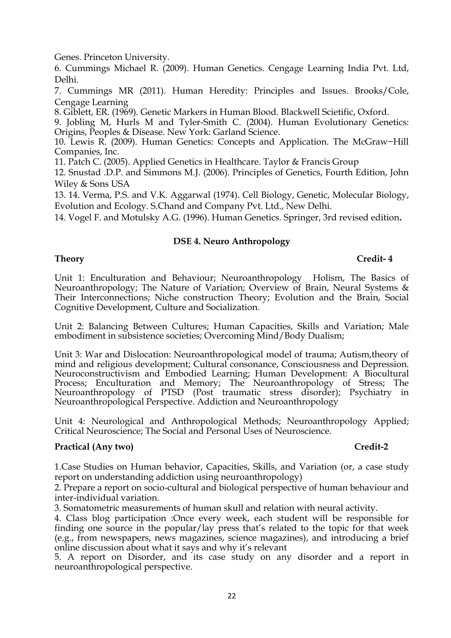Genes. Princeton University.

6. Cummings Michael R. (2009). Human Genetics. Cengage Learning India Pvt. Ltd, Delhi.

7. Cummings MR (2011). Human Heredity: Principles and Issues. Brooks/Cole, Cengage Learning

8. Giblett, ER. (1969). Genetic Markers in Human Blood. Blackwell Scietific, Oxford.

9. Jobling M, Hurls M and Tyler-Smith C. (2004). Human Evolutionary Genetics: Origins, Peoples & Disease. New York: Garland Science.

10. Lewis R. (2009). Human Genetics: Concepts and Application. The McGraw−Hill Companies, Inc.

11. Patch C. (2005). Applied Genetics in Healthcare. Taylor & Francis Group

12. Snustad .D.P. and Simmons M.J. (2006). Principles of Genetics, Fourth Edition, John Wiley & Sons USA

13. 14. Verma, P.S. and V.K. Aggarwal (1974). Cell Biology, Genetic, Molecular Biology, Evolution and Ecology. S.Chand and Company Pvt. Ltd., New Delhi.

14. Vogel F. and Motulsky A.G. (1996). Human Genetics. Springer, 3rd revised edition**.**

#### **DSE 4. Neuro Anthropology**

### **Theory Credit- 4**

Unit 1: Enculturation and Behaviour; Neuroanthropology Holism, The Basics of Neuroanthropology; The Nature of Variation; Overview of Brain, Neural Systems & Their Interconnections; Niche construction Theory; Evolution and the Brain, Social Cognitive Development, Culture and Socialization.

Unit 2: Balancing Between Cultures; Human Capacities, Skills and Variation; Male embodiment in subsistence societies; Overcoming Mind/Body Dualism;

Unit 3: War and Dislocation: Neuroanthropological model of trauma; Autism,theory of mind and religious development; Cultural consonance, Consciousness and Depression. Neuroconstructivism and Embodied Learning; Human Development: A Biocultural Process; Enculturation and Memory; The Neuroanthropology of Stress; The Neuroanthropology of PTSD (Post traumatic stress disorder); Psychiatry in Neuroanthropological Perspective. Addiction and Neuroanthropology

Unit 4: Neurological and Anthropological Methods; Neuroanthropology Applied; Critical Neuroscience; The Social and Personal Uses of Neuroscience.

### **Practical (Any two) Credit-2**

1.Case Studies on Human behavior, Capacities, Skills, and Variation (or, a case study report on understanding addiction using neuroanthropology)

2. Prepare a report on socio-cultural and biological perspective of human behaviour and inter-individual variation.

3. Somatometric measurements of human skull and relation with neural activity.

4. Class blog participation :Once every week, each student will be responsible for finding one source in the popular/lay press that's related to the topic for that week (e.g., from newspapers, news magazines, science magazines), and introducing a brief online discussion about what it says and why it's relevant

5. A report on Disorder, and its case study on any disorder and a report in neuroanthropological perspective.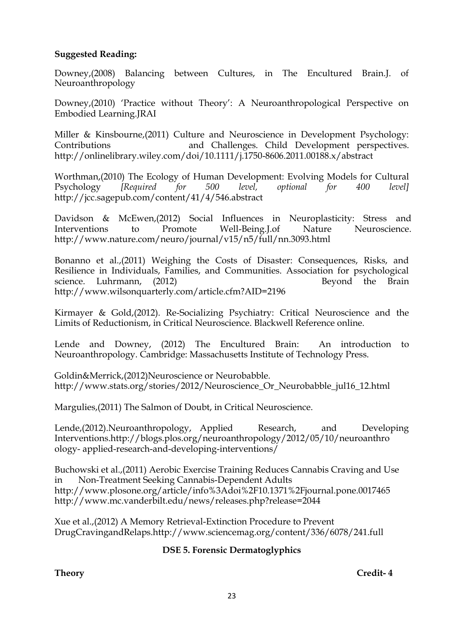### **Suggested Reading:**

Downey,(2008) Balancing between Cultures, in The Encultured Brain.J. of Neuroanthropology

Downey,(2010) 'Practice without Theory': A Neuroanthropological Perspective on Embodied Learning.JRAI

Miller & Kinsbourne,(2011) Culture and Neuroscience in Development Psychology: Contributions and Challenges. Child Development perspectives. <http://onlinelibrary.wiley.com/doi/10.1111/j.1750-8606.2011.00188.x/abstract>

Worthman,(2010) The Ecology of Human Development: Evolving Models for Cultural Psychology *[Required for 500 level, optional for 400 level]* <http://jcc.sagepub.com/content/41/4/546.abstract>

Davidson & McEwen,(2012) Social Influences in Neuroplasticity: Stress and Interventions to Promote Well-Being.J.of Nature Neuroscience. <http://www.nature.com/neuro/journal/v15/n5/full/nn.3093.html>

Bonanno et al.,(2011) Weighing the Costs of Disaster: Consequences, Risks, and Resilience in Individuals, Families, and Communities. Association for psychological science. Luhrmann, (2012) Beyond the Brain <http://www.wilsonquarterly.com/article.cfm?AID=2196>

Kirmayer & Gold,(2012). Re-Socializing Psychiatry: Critical Neuroscience and the Limits of Reductionism, in Critical Neuroscience. Blackwell Reference online.

Lende and Downey, (2012) The Encultured Brain: An introduction to Neuroanthropology. Cambridge: Massachusetts Institute of Technology Press.

Goldin&Merrick,(2012)Neuroscience or Neurobabble. [http://www.stats.org/stories/2012/Neuroscience\\_Or\\_Neurobabble\\_jul16\\_12.html](http://www.stats.org/stories/2012/Neuroscience_Or_Neurobabble_jul16_12.html)

Margulies,(2011) The Salmon of Doubt, in Critical Neuroscience.

Lende,(2012).Neuroanthropology, Applied Research, and Developing Interventions.http://blogs.plos.org/neuroanthropology/2012/05/10/neuroanthro ology- applied-research-and-developing-interventions/

Buchowski et al.,(2011) Aerobic Exercise Training Reduces Cannabis Craving and Use in Non-Treatment Seeking Cannabis-Dependent Adults http://www.plosone.org/article/info%3Adoi%2F10.1371%2Fjournal.pone.0017465 <http://www.mc.vanderbilt.edu/news/releases.php?release=2044>

Xue et al.,(2012) A Memory Retrieval-Extinction Procedure to Prevent DrugCravingandRelaps.http://www.sciencemag.org/content/336/6078/241.full

# **DSE 5. Forensic Dermatoglyphics**

**Theory Credit- 4**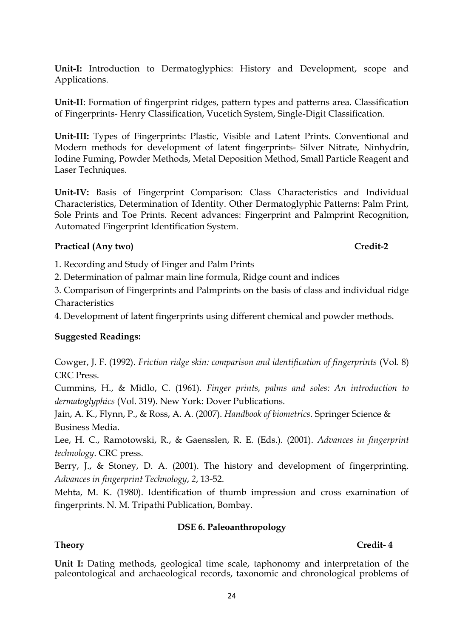**Unit-I:** Introduction to Dermatoglyphics: History and Development, scope and Applications.

**Unit-II**: Formation of fingerprint ridges, pattern types and patterns area. Classification of Fingerprints- Henry Classification, Vucetich System, Single-Digit Classification.

**Unit-III:** Types of Fingerprints: Plastic, Visible and Latent Prints. Conventional and Modern methods for development of latent fingerprints- Silver Nitrate, Ninhydrin, Iodine Fuming, Powder Methods, Metal Deposition Method, Small Particle Reagent and Laser Techniques.

**Unit-IV:** Basis of Fingerprint Comparison: Class Characteristics and Individual Characteristics, Determination of Identity. Other Dermatoglyphic Patterns: Palm Print, Sole Prints and Toe Prints. Recent advances: Fingerprint and Palmprint Recognition, Automated Fingerprint Identification System.

# **Practical (Any two) Credit-2**

1. Recording and Study of Finger and Palm Prints

2. Determination of palmar main line formula, Ridge count and indices

3. Comparison of Fingerprints and Palmprints on the basis of class and individual ridge Characteristics

4. Development of latent fingerprints using different chemical and powder methods.

# **Suggested Readings:**

Cowger, J. F. (1992). *Friction ridge skin: comparison and identification of fingerprints* (Vol. 8) CRC Press.

Cummins, H., & Midlo, C. (1961). *Finger prints, palms and soles: An introduction to dermatoglyphics* (Vol. 319). New York: Dover Publications.

Jain, A. K., Flynn, P., & Ross, A. A. (2007). *Handbook of biometrics*. Springer Science & Business Media.

Lee, H. C., Ramotowski, R., & Gaensslen, R. E. (Eds.). (2001). *Advances in fingerprint technology*. CRC press.

Berry, J., & Stoney, D. A. (2001). The history and development of fingerprinting. *Advances in fingerprint Technology*, *2*, 13-52.

Mehta, M. K. (1980). Identification of thumb impression and cross examination of fingerprints. N. M. Tripathi Publication, Bombay.

# **DSE 6. Paleoanthropology**

# **Theory Credit- 4**

**Unit I:** Dating methods, geological time scale, taphonomy and interpretation of the paleontological and archaeological records, taxonomic and chronological problems of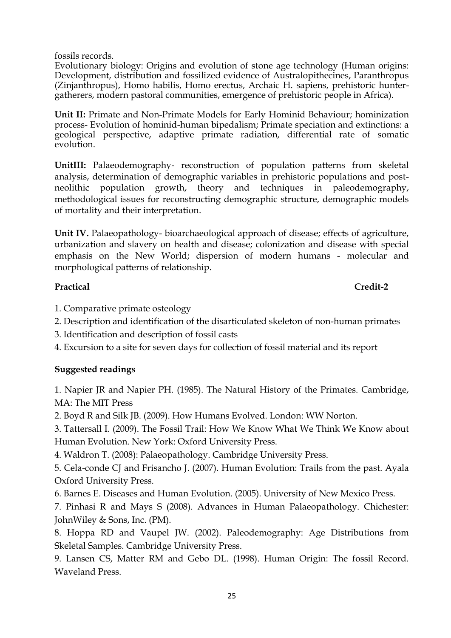fossils records.

Evolutionary biology: Origins and evolution of stone age technology (Human origins: Development, distribution and fossilized evidence of Australopithecines, Paranthropus (Zinjanthropus), Homo habilis, Homo erectus, Archaic H. sapiens, prehistoric huntergatherers, modern pastoral communities, emergence of prehistoric people in Africa).

**Unit II:** Primate and Non-Primate Models for Early Hominid Behaviour; hominization process- Evolution of hominid-human bipedalism; Primate speciation and extinctions: a geological perspective, adaptive primate radiation, differential rate of somatic evolution.

**UnitIII:** Palaeodemography- reconstruction of population patterns from skeletal analysis, determination of demographic variables in prehistoric populations and postneolithic population growth, theory and techniques in paleodemography, methodological issues for reconstructing demographic structure, demographic models of mortality and their interpretation.

**Unit IV.** Palaeopathology- bioarchaeological approach of disease; effects of agriculture, urbanization and slavery on health and disease; colonization and disease with special emphasis on the New World; dispersion of modern humans - molecular and morphological patterns of relationship.

# **Practical Credit-2**

- 1. Comparative primate osteology
- 2. Description and identification of the disarticulated skeleton of non-human primates
- 3. Identification and description of fossil casts
- 4. Excursion to a site for seven days for collection of fossil material and its report

# **Suggested readings**

1. Napier JR and Napier PH. (1985). The Natural History of the Primates. Cambridge, MA: The MIT Press

2. Boyd R and Silk JB. (2009). How Humans Evolved. London: WW Norton.

3. Tattersall I. (2009). The Fossil Trail: How We Know What We Think We Know about Human Evolution. New York: Oxford University Press.

4. Waldron T. (2008): Palaeopathology. Cambridge University Press.

5. Cela-conde CJ and Frisancho J. (2007). Human Evolution: Trails from the past. Ayala Oxford University Press.

6. Barnes E. Diseases and Human Evolution. (2005). University of New Mexico Press.

7. Pinhasi R and Mays S (2008). Advances in Human Palaeopathology. Chichester: JohnWiley & Sons, Inc. (PM).

8. Hoppa RD and Vaupel JW. (2002). Paleodemography: Age Distributions from Skeletal Samples. Cambridge University Press.

9. Lansen CS, Matter RM and Gebo DL. (1998). Human Origin: The fossil Record. Waveland Press.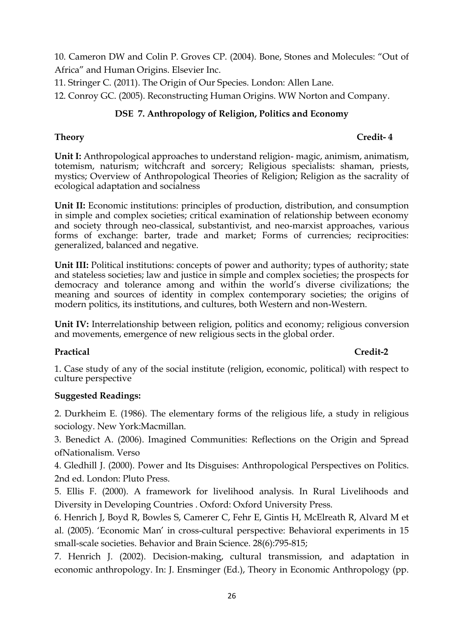10. Cameron DW and Colin P. Groves CP. (2004). Bone, Stones and Molecules: "Out of Africa" and Human Origins. Elsevier Inc.

11. Stringer C. (2011). The Origin of Our Species. London: Allen Lane.

12. Conroy GC. (2005). Reconstructing Human Origins. WW Norton and Company.

# **DSE 7. Anthropology of Religion, Politics and Economy**

# **Theory Credit- 4**

**Unit I:** Anthropological approaches to understand religion- magic, animism, animatism, totemism, naturism; witchcraft and sorcery; Religious specialists: shaman, priests, mystics; Overview of Anthropological Theories of Religion; Religion as the sacrality of ecological adaptation and socialness

Unit II: Economic institutions: principles of production, distribution, and consumption in simple and complex societies; critical examination of relationship between economy and society through neo-classical, substantivist, and neo-marxist approaches, various forms of exchange: barter, trade and market; Forms of currencies; reciprocities: generalized, balanced and negative.

Unit III: Political institutions: concepts of power and authority; types of authority; state and stateless societies; law and justice in simple and complex societies; the prospects for democracy and tolerance among and within the world's diverse civilizations; the meaning and sources of identity in complex contemporary societies; the origins of modern politics, its institutions, and cultures, both Western and non-Western.

**Unit IV:** Interrelationship between religion, politics and economy; religious conversion and movements, emergence of new religious sects in the global order.

# **Practical Credit-2**

1. Case study of any of the social institute (religion, economic, political) with respect to culture perspective

# **Suggested Readings:**

2. Durkheim E. (1986). The elementary forms of the religious life, a study in religious sociology. New York:Macmillan.

3. Benedict A. (2006). Imagined Communities: Reflections on the Origin and Spread ofNationalism. Verso

4. Gledhill J. (2000). Power and Its Disguises: Anthropological Perspectives on Politics. 2nd ed. London: Pluto Press.

5. Ellis F. (2000). A framework for livelihood analysis. In Rural Livelihoods and Diversity in Developing Countries . Oxford: Oxford University Press.

6. Henrich J, Boyd R, Bowles S, Camerer C, Fehr E, Gintis H, McElreath R, Alvard M et al. (2005). 'Economic Man' in cross-cultural perspective: Behavioral experiments in 15 small-scale societies. Behavior and Brain Science. 28(6):795-815;

7. Henrich J. (2002). Decision-making, cultural transmission, and adaptation in economic anthropology. In: J. Ensminger (Ed.), Theory in Economic Anthropology (pp.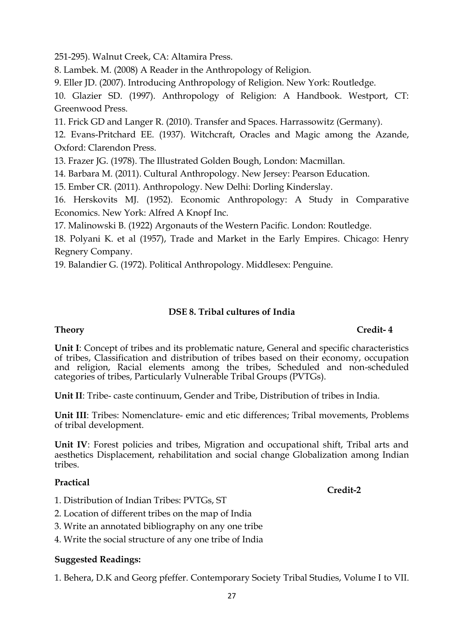251-295). Walnut Creek, CA: Altamira Press.

8. Lambek. M. (2008) A Reader in the Anthropology of Religion.

9. Eller JD. (2007). Introducing Anthropology of Religion. New York: Routledge.

10. Glazier SD. (1997). Anthropology of Religion: A Handbook. Westport, CT: Greenwood Press.

11. Frick GD and Langer R. (2010). Transfer and Spaces. Harrassowitz (Germany).

12. Evans-Pritchard EE. (1937). Witchcraft, Oracles and Magic among the Azande, Oxford: Clarendon Press.

13. Frazer JG. (1978). The Illustrated Golden Bough, London: Macmillan.

14. Barbara M. (2011). Cultural Anthropology. New Jersey: Pearson Education.

15. Ember CR. (2011). Anthropology. New Delhi: Dorling Kinderslay.

16. Herskovits MJ. (1952). Economic Anthropology: A Study in Comparative Economics. New York: Alfred A Knopf Inc.

17. Malinowski B. (1922) Argonauts of the Western Pacific. London: Routledge.

18. Polyani K. et al (1957), Trade and Market in the Early Empires. Chicago: Henry Regnery Company.

19. Balandier G. (1972). Political Anthropology. Middlesex: Penguine.

# **DSE 8. Tribal cultures of India**

#### **Unit I**: Concept of tribes and its problematic nature, General and specific characteristics of tribes, Classification and distribution of tribes based on their economy, occupation and religion, Racial elements among the tribes, Scheduled and non-scheduled categories of tribes, Particularly Vulnerable Tribal Groups (PVTGs).

**Unit II**: Tribe- caste continuum, Gender and Tribe, Distribution of tribes in India.

**Unit III**: Tribes: Nomenclature- emic and etic differences; Tribal movements, Problems of tribal development.

**Unit IV**: Forest policies and tribes, Migration and occupational shift, Tribal arts and aesthetics Displacement, rehabilitation and social change Globalization among Indian tribes.

### **Practical**

- 1. Distribution of Indian Tribes: PVTGs, ST
- 2. Location of different tribes on the map of India
- 3. Write an annotated bibliography on any one tribe
- 4. Write the social structure of any one tribe of India

### **Suggested Readings:**

1. Behera, D.K and Georg pfeffer. Contemporary Society Tribal Studies, Volume I to VII.

**Credit-2**

# **Theory Credit- 4**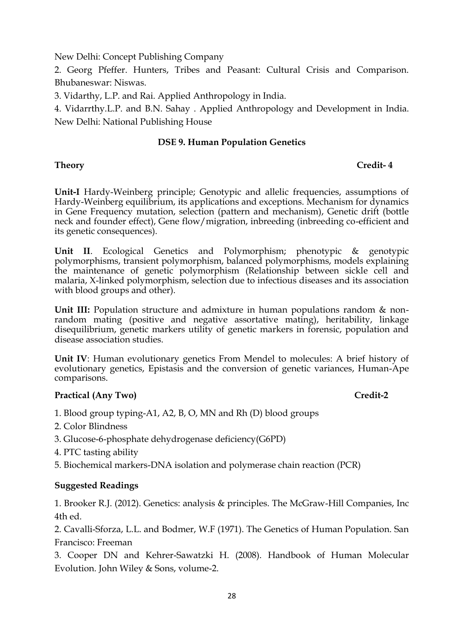New Delhi: Concept Publishing Company

2. Georg Pfeffer. Hunters, Tribes and Peasant: Cultural Crisis and Comparison. Bhubaneswar: Niswas.

3. Vidarthy, L.P. and Rai. Applied Anthropology in India.

4. Vidarrthy.L.P. and B.N. Sahay . Applied Anthropology and Development in India. New Delhi: National Publishing House

### **DSE 9. Human Population Genetics**

# **Theory Credit- 4**

**Unit-I** Hardy-Weinberg principle; Genotypic and allelic frequencies, assumptions of Hardy-Weinberg equilibrium, its applications and exceptions. Mechanism for dynamics in Gene Frequency mutation, selection (pattern and mechanism), Genetic drift (bottle neck and founder effect), Gene flow/migration, inbreeding (inbreeding co-efficient and its genetic consequences).

**Unit II**. Ecological Genetics and Polymorphism; phenotypic & genotypic polymorphisms, transient polymorphism, balanced polymorphisms, models explaining the maintenance of genetic polymorphism (Relationship between sickle cell and malaria, X-linked polymorphism, selection due to infectious diseases and its association with blood groups and other).

**Unit III:** Population structure and admixture in human populations random & nonrandom mating (positive and negative assortative mating), heritability, linkage disequilibrium, genetic markers utility of genetic markers in forensic, population and disease association studies.

**Unit IV**: Human evolutionary genetics From Mendel to molecules: A brief history of evolutionary genetics, Epistasis and the conversion of genetic variances, Human-Ape comparisons.

# Practical (Any Two) Credit-2

- 1. Blood group typing-A1, A2, B, O, MN and Rh (D) blood groups
- 2. Color Blindness
- 3. Glucose-6-phosphate dehydrogenase deficiency(G6PD)
- 4. PTC tasting ability
- 5. Biochemical markers-DNA isolation and polymerase chain reaction (PCR)

# **Suggested Readings**

1. Brooker R.J. (2012). Genetics: analysis & principles. The McGraw-Hill Companies, Inc 4th ed.

2. Cavalli-Sforza, L.L. and Bodmer, W.F (1971). The Genetics of Human Population. San Francisco: Freeman

3. Cooper DN and Kehrer-Sawatzki H. (2008). Handbook of Human Molecular Evolution. John Wiley & Sons, volume-2.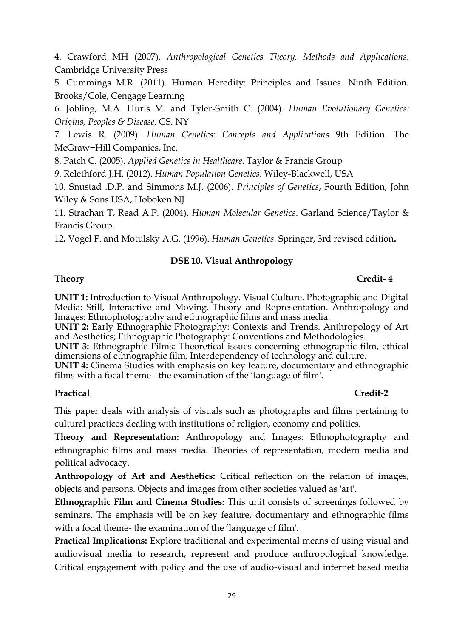4. Crawford MH (2007). *Anthropological Genetics Theory, Methods and Applications*. Cambridge University Press

5. Cummings M.R. (2011). Human Heredity: Principles and Issues*.* Ninth Edition. Brooks/Cole, Cengage Learning

6. Jobling, M.A. Hurls M. and Tyler-Smith C. (2004). *Human Evolutionary Genetics: Origins, Peoples & Disease*. GS. NY

7. Lewis R. (2009). *Human Genetics: Concepts and Applications* 9th Edition. The McGraw−Hill Companies, Inc.

8. Patch C. (2005). *Applied Genetics in Healthcare*. Taylor & Francis Group

9. Relethford J.H. (2012). *Human Population Genetics*. Wiley-Blackwell, USA

10. Snustad .D.P. and Simmons M.J. (2006). *Principles of Genetics*, Fourth Edition, John Wiley & Sons USA, Hoboken NJ

11. Strachan T, Read A.P. (2004). *Human Molecular Genetics*. Garland Science/Taylor & Francis Group.

12**.** Vogel F. and Motulsky A.G. (1996). *Human Genetics*. Springer, 3rd revised edition**.**

# **DSE 10. Visual Anthropology**

### **Theory Credit- 4**

**UNIT 1:** Introduction to Visual Anthropology. Visual Culture. Photographic and Digital Media: Still, Interactive and Moving. Theory and Representation. Anthropology and Images: Ethnophotography and ethnographic films and mass media.

**UNIT 2:** Early Ethnographic Photography: Contexts and Trends. Anthropology of Art and Aesthetics; Ethnographic Photography: Conventions and Methodologies.

**UNIT 3:** Ethnographic Films: Theoretical issues concerning ethnographic film, ethical dimensions of ethnographic film, Interdependency of technology and culture.

**UNIT 4:** Cinema Studies with emphasis on key feature, documentary and ethnographic films with a focal theme - the examination of the 'language of film'.

# **Practical Credit-2**

This paper deals with analysis of visuals such as photographs and films pertaining to cultural practices dealing with institutions of religion, economy and politics.

**Theory and Representation:** Anthropology and Images: Ethnophotography and ethnographic films and mass media. Theories of representation, modern media and political advocacy.

**Anthropology of Art and Aesthetics:** Critical reflection on the relation of images, objects and persons. Objects and images from other societies valued as 'art'.

**Ethnographic Film and Cinema Studies:** This unit consists of screenings followed by seminars. The emphasis will be on key feature, documentary and ethnographic films with a focal theme- the examination of the 'language of film'.

**Practical Implications:** Explore traditional and experimental means of using visual and audiovisual media to research, represent and produce anthropological knowledge. Critical engagement with policy and the use of audio-visual and internet based media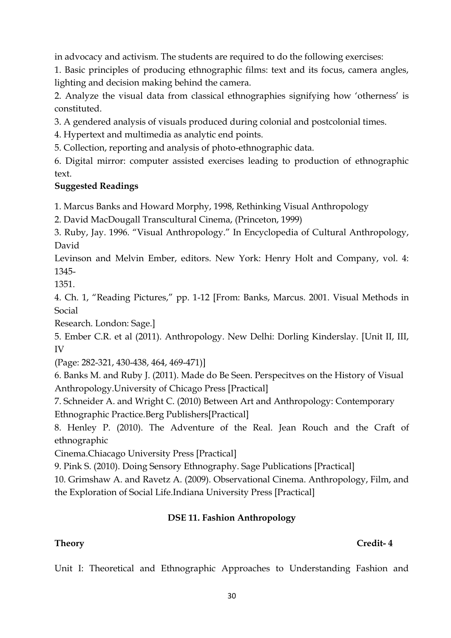in advocacy and activism. The students are required to do the following exercises:

1. Basic principles of producing ethnographic films: text and its focus, camera angles, lighting and decision making behind the camera.

2. Analyze the visual data from classical ethnographies signifying how 'otherness' is constituted.

3. A gendered analysis of visuals produced during colonial and postcolonial times.

4. Hypertext and multimedia as analytic end points.

5. Collection, reporting and analysis of photo-ethnographic data.

6. Digital mirror: computer assisted exercises leading to production of ethnographic text.

# **Suggested Readings**

1. Marcus Banks and Howard Morphy, 1998, Rethinking Visual Anthropology

2. David MacDougall Transcultural Cinema, (Princeton, 1999)

3. Ruby, Jay. 1996. "Visual Anthropology." In Encyclopedia of Cultural Anthropology, David

Levinson and Melvin Ember, editors. New York: Henry Holt and Company, vol. 4: 1345-

1351.

4. Ch. 1, "Reading Pictures," pp. 1-12 [From: Banks, Marcus. 2001. Visual Methods in Social

Research. London: Sage.]

5. Ember C.R. et al (2011). Anthropology. New Delhi: Dorling Kinderslay. [Unit II, III, IV

(Page: 282-321, 430-438, 464, 469-471)]

6. Banks M. and Ruby J. (2011). Made do Be Seen. Perspecitves on the History of Visual Anthropology.University of Chicago Press [Practical]

7. Schneider A. and Wright C. (2010) Between Art and Anthropology: Contemporary Ethnographic Practice.Berg Publishers[Practical]

8. Henley P. (2010). The Adventure of the Real. Jean Rouch and the Craft of ethnographic

Cinema.Chiacago University Press [Practical]

9. Pink S. (2010). Doing Sensory Ethnography. Sage Publications [Practical]

10. Grimshaw A. and Ravetz A. (2009). Observational Cinema. Anthropology, Film, and the Exploration of Social Life.Indiana University Press [Practical]

# **DSE 11. Fashion Anthropology**

Unit I: Theoretical and Ethnographic Approaches to Understanding Fashion and

# **Theory Credit- 4**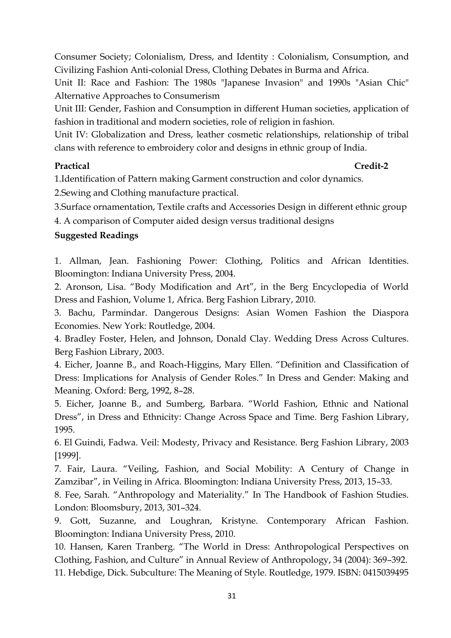Consumer Society; Colonialism, Dress, and Identity : Colonialism, Consumption, and Civilizing Fashion Anti-colonial Dress, Clothing Debates in Burma and Africa.

Unit II: Race and Fashion: The 1980s "Japanese Invasion" and 1990s "Asian Chic" Alternative Approaches to Consumerism

Unit III: Gender, Fashion and Consumption in different Human societies, application of fashion in traditional and modern societies, role of religion in fashion.

Unit IV: Globalization and Dress, leather cosmetic relationships, relationship of tribal clans with reference to embroidery color and designs in ethnic group of India.

# **Practical Credit-2**

1.Identification of Pattern making Garment construction and color dynamics.

2.Sewing and Clothing manufacture practical.

3.Surface ornamentation, Textile crafts and Accessories Design in different ethnic group

4. A comparison of Computer aided design versus traditional designs

# **Suggested Readings**

1. Allman, Jean. Fashioning Power: Clothing, Politics and African Identities. Bloomington: Indiana University Press, 2004.

2. Aronson, Lisa. "Body Modification and Art", in the Berg Encyclopedia of World Dress and Fashion, Volume 1, Africa. Berg Fashion Library, 2010.

3. Bachu, Parmindar. Dangerous Designs: Asian Women Fashion the Diaspora Economies. New York: Routledge, 2004.

4. Bradley Foster, Helen, and Johnson, Donald Clay. Wedding Dress Across Cultures. Berg Fashion Library, 2003.

4. Eicher, Joanne B., and Roach-Higgins, Mary Ellen. "Definition and Classification of Dress: Implications for Analysis of Gender Roles." In Dress and Gender: Making and Meaning. Oxford: Berg, 1992, 8–28.

5. Eicher, Joanne B., and Sumberg, Barbara. "World Fashion, Ethnic and National Dress", in Dress and Ethnicity: Change Across Space and Time. Berg Fashion Library, 1995.

6. El Guindi, Fadwa. Veil: Modesty, Privacy and Resistance. Berg Fashion Library, 2003 [1999].

7. Fair, Laura. "Veiling, Fashion, and Social Mobility: A Century of Change in Zamzibar", in Veiling in Africa. Bloomington: Indiana University Press, 2013, 15–33.

8. Fee, Sarah. "Anthropology and Materiality." In The Handbook of Fashion Studies. London: Bloomsbury, 2013, 301–324.

9. Gott, Suzanne, and Loughran, Kristyne. Contemporary African Fashion. Bloomington: Indiana University Press, 2010.

10. Hansen, Karen Tranberg. "The World in Dress: Anthropological Perspectives on Clothing, Fashion, and Culture" in Annual Review of Anthropology, 34 (2004): 369–392. 11. Hebdige, Dick. Subculture: The Meaning of Style. Routledge, 1979. ISBN: 0415039495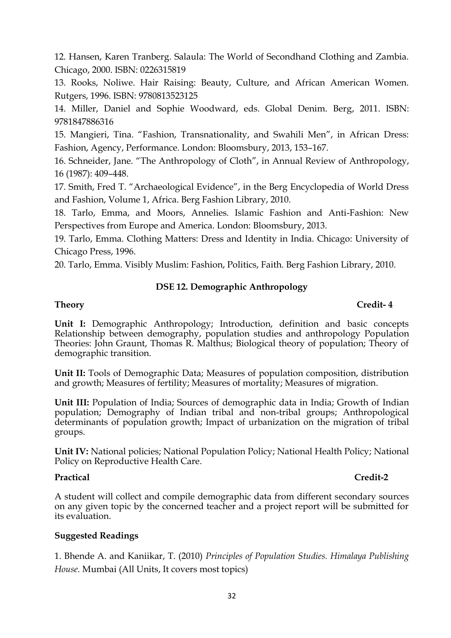12. Hansen, Karen Tranberg. Salaula: The World of Secondhand Clothing and Zambia. Chicago, 2000. ISBN: 0226315819

13. Rooks, Noliwe. Hair Raising: Beauty, Culture, and African American Women. Rutgers, 1996. ISBN: 9780813523125

14. Miller, Daniel and Sophie Woodward, eds. Global Denim. Berg, 2011. ISBN: 9781847886316

15. Mangieri, Tina. "Fashion, Transnationality, and Swahili Men", in African Dress: Fashion, Agency, Performance. London: Bloomsbury, 2013, 153–167.

16. Schneider, Jane. "The Anthropology of Cloth", in Annual Review of Anthropology, 16 (1987): 409–448.

17. Smith, Fred T. "Archaeological Evidence", in the Berg Encyclopedia of World Dress and Fashion, Volume 1, Africa. Berg Fashion Library, 2010.

18. Tarlo, Emma, and Moors, Annelies. Islamic Fashion and Anti-Fashion: New Perspectives from Europe and America. London: Bloomsbury, 2013.

19. Tarlo, Emma. Clothing Matters: Dress and Identity in India. Chicago: University of Chicago Press, 1996.

20. Tarlo, Emma. Visibly Muslim: Fashion, Politics, Faith. Berg Fashion Library, 2010.

### **DSE 12. Demographic Anthropology**

# **Theory Credit- 4**

**Unit I:** Demographic Anthropology; Introduction, definition and basic concepts Relationship between demography, population studies and anthropology Population Theories: John Graunt, Thomas R. Malthus; Biological theory of population; Theory of demographic transition.

**Unit II:** Tools of Demographic Data; Measures of population composition, distribution and growth; Measures of fertility; Measures of mortality; Measures of migration.

**Unit III:** Population of India; Sources of demographic data in India; Growth of Indian population; Demography of Indian tribal and non-tribal groups; Anthropological determinants of population growth; Impact of urbanization on the migration of tribal groups.

**Unit IV:** National policies; National Population Policy; National Health Policy; National Policy on Reproductive Health Care.

# **Practical Credit-2**

A student will collect and compile demographic data from different secondary sources on any given topic by the concerned teacher and a project report will be submitted for its evaluation.

# **Suggested Readings**

1. Bhende A. and Kaniikar, T. (2010) *Principles of Population Studies. Himalaya Publishing House.* Mumbai (All Units, It covers most topics)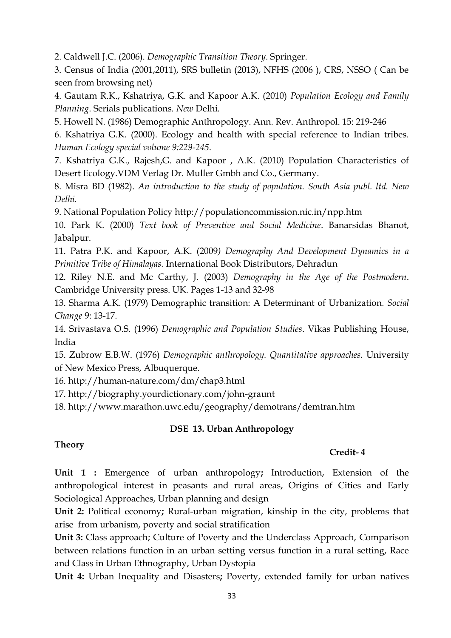2. Caldwell J.C. (2006). *Demographic Transition Theory*. Springer.

3. Census of India (2001,2011), SRS bulletin (2013), NFHS (2006 ), CRS, NSSO ( Can be seen from browsing net)

4. Gautam R.K., Kshatriya, G.K. and Kapoor A.K. (2010) *Population Ecology and Family Planning*. Serials publications*. New* Delhi*.*

5. Howell N. (1986) Demographic Anthropology. Ann. Rev. Anthropol. 15: 219-246

6. Kshatriya G.K*.* (2000). Ecology and health with special reference to Indian tribes*. Human Ecology special volume 9:229-245.*

7. Kshatriya G.K., Rajesh,G. and Kapoor , A.K. (2010) Population Characteristics of Desert Ecology.VDM Verlag Dr. Muller Gmbh and Co., Germany.

8. Misra BD (1982). *An introduction to the study of population. South Asia publ. ltd. New Delhi.*

9. National Population Policy http://populationcommission.nic.in/npp.htm

10. Park K. (2000) *Text book of Preventive and Social Medicine*. Banarsidas Bhanot, Jabalpur.

11. Patra P.K. and Kapoor, A.K. (2009*) Demography And Development Dynamics in a Primitive Tribe of Himalayas.* International Book Distributors, Dehradun

12. Riley N.E. and Mc Carthy, J. (2003) *Demography in the Age of the Postmodern*. Cambridge University press. UK. Pages 1-13 and 32-98

13. Sharma A.K. (1979) Demographic transition: A Determinant of Urbanization*. Social Change* 9: 13-17.

14. Srivastava O.S. (1996) *Demographic and Population Studies*. Vikas Publishing House, India

15. Zubrow E.B.W. (1976) *Demographic anthropology. Quantitative approaches.* University of New Mexico Press, Albuquerque.

16. http://human-nature.com/dm/chap3.html

17. http://biography.yourdictionary.com/john-graunt

18.<http://www.marathon.uwc.edu/geography/demotrans/demtran.htm>

### **DSE 13. Urban Anthropology**

# **Theory**

### **Credit- 4**

**Unit 1 :** Emergence of urban anthropology**;** Introduction, Extension of the anthropological interest in peasants and rural areas, Origins of Cities and Early Sociological Approaches, Urban planning and design

**Unit 2:** Political economy**;** Rural-urban migration, kinship in the city, problems that arise from urbanism, poverty and social stratification

**Unit 3:** Class approach; Culture of Poverty and the Underclass Approach, Comparison between relations function in an urban setting versus function in a rural setting, Race and Class in Urban Ethnography, Urban Dystopia

**Unit 4:** Urban Inequality and Disasters**;** Poverty, extended family for urban natives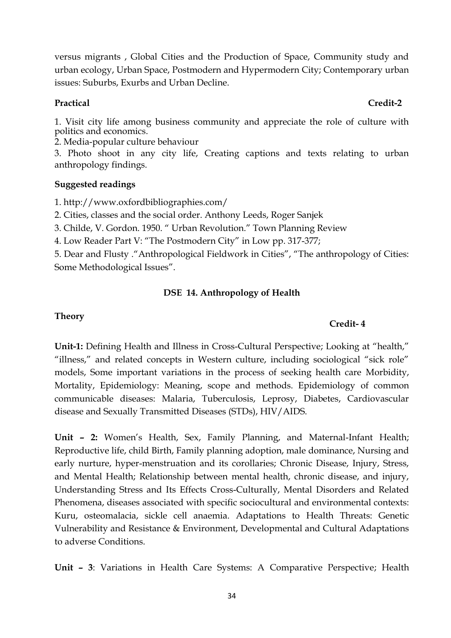versus migrants , Global Cities and the Production of Space, Community study and urban ecology, Urban Space, Postmodern and Hypermodern City; Contemporary urban issues: Suburbs, Exurbs and Urban Decline.

### **Practical Credit-2**

1. Visit city life among business community and appreciate the role of culture with politics and economics.

2. Media-popular culture behaviour

3. Photo shoot in any city life, Creating captions and texts relating to urban anthropology findings.

# **Suggested readings**

1. http://www.oxfordbibliographies.com/

2. Cities, classes and the social order. Anthony Leeds, Roger Sanjek

3. Childe, V. Gordon. 1950. " Urban Revolution." Town Planning Review

4. Low Reader Part V: "The Postmodern City" in Low pp. 317-377;

5. Dear and Flusty ."Anthropological Fieldwork in Cities", "The anthropology of Cities: Some Methodological Issues".

# **DSE 14. Anthropology of Health**

# **Theory**

# **Credit- 4**

**Unit-1:** Defining Health and Illness in Cross-Cultural Perspective; Looking at "health," "illness," and related concepts in Western culture, including sociological "sick role" models, Some important variations in the process of seeking health care Morbidity, Mortality, Epidemiology: Meaning, scope and methods. Epidemiology of common communicable diseases: Malaria, Tuberculosis, Leprosy, Diabetes, Cardiovascular disease and Sexually Transmitted Diseases (STDs), HIV/AIDS.

**Unit – 2:** Women's Health, Sex, Family Planning, and Maternal-Infant Health; Reproductive life, child Birth, Family planning adoption, male dominance, Nursing and early nurture, hyper-menstruation and its corollaries; Chronic Disease, Injury, Stress, and Mental Health; Relationship between mental health, chronic disease, and injury, Understanding Stress and Its Effects Cross-Culturally, Mental Disorders and Related Phenomena, diseases associated with specific sociocultural and environmental contexts: Kuru, osteomalacia, sickle cell anaemia. Adaptations to Health Threats: Genetic Vulnerability and Resistance & Environment, Developmental and Cultural Adaptations to adverse Conditions.

**Unit – 3**: Variations in Health Care Systems: A Comparative Perspective; Health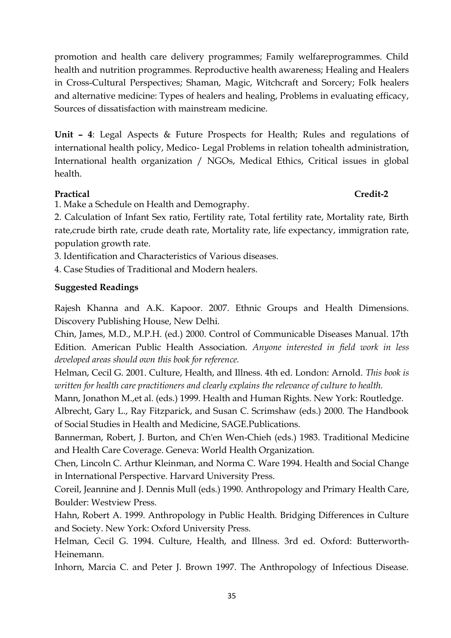promotion and health care delivery programmes; Family welfareprogrammes. Child health and nutrition programmes. Reproductive health awareness; Healing and Healers in Cross-Cultural Perspectives; Shaman, Magic, Witchcraft and Sorcery; Folk healers and alternative medicine: Types of healers and healing, Problems in evaluating efficacy, Sources of dissatisfaction with mainstream medicine.

**Unit – 4**: Legal Aspects & Future Prospects for Health; Rules and regulations of international health policy, Medico- Legal Problems in relation tohealth administration, International health organization / NGOs, Medical Ethics, Critical issues in global health.

# **Practical Credit-2**

1. Make a Schedule on Health and Demography.

2. Calculation of Infant Sex ratio, Fertility rate, Total fertility rate, Mortality rate, Birth rate,crude birth rate, crude death rate, Mortality rate, life expectancy, immigration rate, population growth rate.

3. Identification and Characteristics of Various diseases.

4. Case Studies of Traditional and Modern healers.

# **Suggested Readings**

Rajesh Khanna and A.K. Kapoor. 2007. Ethnic Groups and Health Dimensions. Discovery Publishing House, New Delhi.

Chin, James, M.D., M.P.H. (ed.) 2000. Control of Communicable Diseases Manual. 17th Edition. American Public Health Association. *Anyone interested in field work in less developed areas should own this book for reference.*

Helman, Cecil G. 2001. Culture, Health, and Illness. 4th ed. London: Arnold. *This book is written for health care practitioners and clearly explains the relevance of culture to health.*

Mann, Jonathon M.,et al. (eds.) 1999. Health and Human Rights. New York: Routledge.

Albrecht, Gary L., Ray Fitzparick, and Susan C. Scrimshaw (eds.) 2000. The Handbook of Social Studies in Health and Medicine, SAGE.Publications.

Bannerman, Robert, J. Burton, and Ch'en Wen-Chieh (eds.) 1983. Traditional Medicine and Health Care Coverage. Geneva: World Health Organization.

Chen, Lincoln C. Arthur Kleinman, and Norma C. Ware 1994. Health and Social Change in International Perspective. Harvard University Press.

Coreil, Jeannine and J. Dennis Mull (eds.) 1990. Anthropology and Primary Health Care, Boulder: Westview Press.

Hahn, Robert A. 1999. Anthropology in Public Health. Bridging Differences in Culture and Society. New York: Oxford University Press.

Helman, Cecil G. 1994. Culture, Health, and Illness. 3rd ed. Oxford: Butterworth-Heinemann.

Inhorn, Marcia C. and Peter J. Brown 1997. The Anthropology of Infectious Disease.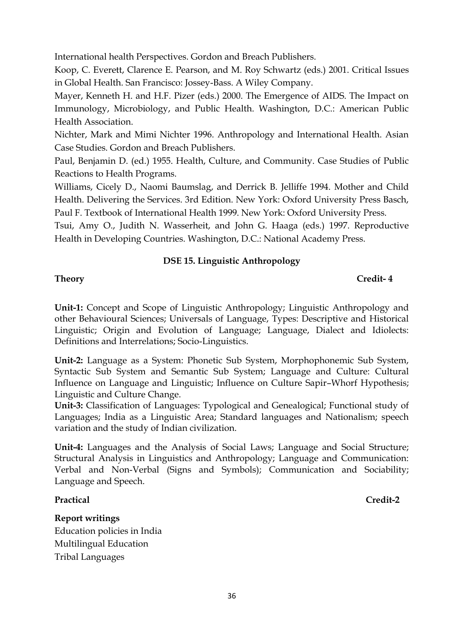International health Perspectives. Gordon and Breach Publishers.

Koop, C. Everett, Clarence E. Pearson, and M. Roy Schwartz (eds.) 2001. Critical Issues in Global Health. San Francisco: Jossey-Bass. A Wiley Company.

Mayer, Kenneth H. and H.F. Pizer (eds.) 2000. The Emergence of AIDS. The Impact on Immunology, Microbiology, and Public Health. Washington, D.C.: American Public Health Association.

Nichter, Mark and Mimi Nichter 1996. Anthropology and International Health. Asian Case Studies. Gordon and Breach Publishers.

Paul, Benjamin D. (ed.) 1955. Health, Culture, and Community. Case Studies of Public Reactions to Health Programs.

Williams, Cicely D., Naomi Baumslag, and Derrick B. Jelliffe 1994. Mother and Child Health. Delivering the Services. 3rd Edition. New York: Oxford University Press Basch, Paul F. Textbook of International Health 1999. New York: Oxford University Press.

Tsui, Amy O., Judith N. Wasserheit, and John G. Haaga (eds.) 1997. Reproductive Health in Developing Countries. Washington, D.C.: National Academy Press.

# **DSE 15. Linguistic Anthropology**

**Unit-1:** Concept and Scope of Linguistic Anthropology; Linguistic Anthropology and other Behavioural Sciences; Universals of Language, Types: Descriptive and Historical Linguistic; Origin and Evolution of Language; Language, Dialect and Idiolects: Definitions and Interrelations; Socio-Linguistics.

**Unit-2:** Language as a System: Phonetic Sub System, Morphophonemic Sub System, Syntactic Sub System and Semantic Sub System; Language and Culture: Cultural Influence on Language and Linguistic; Influence on Culture Sapir–Whorf Hypothesis; Linguistic and Culture Change.

**Unit-3:** Classification of Languages: Typological and Genealogical; Functional study of Languages; India as a Linguistic Area; Standard languages and Nationalism; speech variation and the study of Indian civilization.

**Unit-4:** Languages and the Analysis of Social Laws; Language and Social Structure; Structural Analysis in Linguistics and Anthropology; Language and Communication: Verbal and Non-Verbal (Signs and Symbols); Communication and Sociability; Language and Speech.

# **Practical Credit-2**

**Report writings**  Education policies in India Multilingual Education Tribal Languages

**Theory Credit- 4**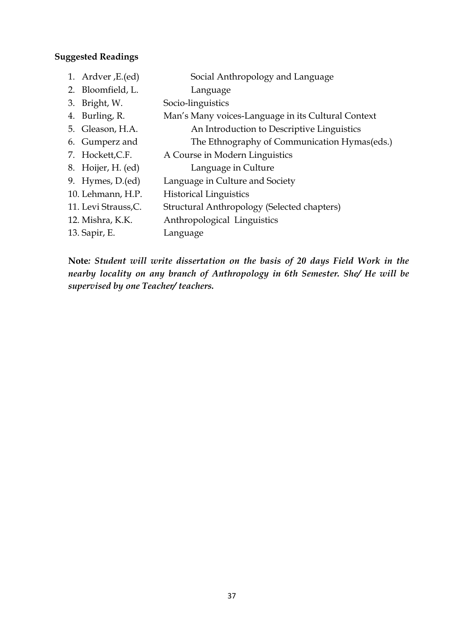### **Suggested Readings**

- 1. Ardver ,E.(ed) Social Anthropology and Language
- 2. Bloomfield, L. Language
- 3. Bright, W. Socio-linguistics
- 4. Burling, R. Man's Many voices-Language in its Cultural Context 5. Gleason, H.A. An Introduction to Descriptive Linguistics
- 6. Gumperz and The Ethnography of Communication Hymas(eds.)
- 7. Hockett,C.F. A Course in Modern Linguistics
- 8. Hoijer, H. (ed) Language in Culture
- 9. Hymes, D.(ed) Language in Culture and Society
- 10. Lehmann, H.P. Historical Linguistics
- 11. Levi Strauss,C. Structural Anthropology (Selected chapters)
- 12. Mishra, K.K. Anthropological Linguistics
- 13. Sapir, E. Language

**Note***: Student will write dissertation on the basis of 20 days Field Work in the nearby locality on any branch of Anthropology in 6th Semester. She/ He will be supervised by one Teacher/ teachers.*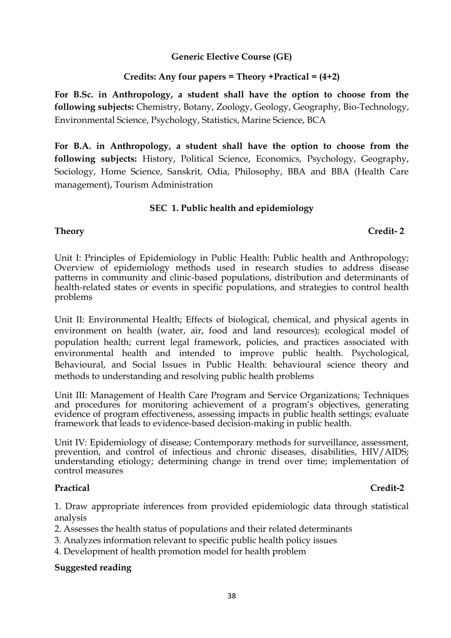**Generic Elective Course (GE)**

### **Credits: Any four papers = Theory +Practical = (4+2)**

**For B.Sc. in Anthropology, a student shall have the option to choose from the following subjects:** Chemistry, Botany, Zoology, Geology, Geography, Bio-Technology, Environmental Science, Psychology, Statistics, Marine Science, BCA

**For B.A. in Anthropology, a student shall have the option to choose from the following subjects:** History, Political Science, Economics, Psychology, Geography, Sociology, Home Science, Sanskrit, Odia, Philosophy, BBA and BBA (Health Care management), Tourism Administration

### **SEC 1. Public health and epidemiology**

### **Theory Credit- 2**

Unit I: Principles of Epidemiology in Public Health: Public health and Anthropology; Overview of epidemiology methods used in research studies to address disease patterns in community and clinic-based populations, distribution and determinants of health-related states or events in specific populations, and strategies to control health problems

Unit II: Environmental Health; Effects of biological, chemical, and physical agents in environment on health (water, air, food and land resources); ecological model of population health; current legal framework, policies, and practices associated with environmental health and intended to improve public health. Psychological, Behavioural, and Social Issues in Public Health: behavioural science theory and methods to understanding and resolving public health problems

Unit III: Management of Health Care Program and Service Organizations; Techniques and procedures for monitoring achievement of a program's objectives, generating evidence of program effectiveness, assessing impacts in public health settings; evaluate framework that leads to evidence-based decision-making in public health.

Unit IV: Epidemiology of disease; Contemporary methods for surveillance, assessment, prevention, and control of infectious and chronic diseases, disabilities, HIV/AIDS; understanding etiology; determining change in trend over time; implementation of control measures

### **Practical Credit-2**

1. Draw appropriate inferences from provided epidemiologic data through statistical analysis

2. Assesses the health status of populations and their related determinants

- 3. Analyzes information relevant to specific public health policy issues
- 4. Development of health promotion model for health problem

### **Suggested reading**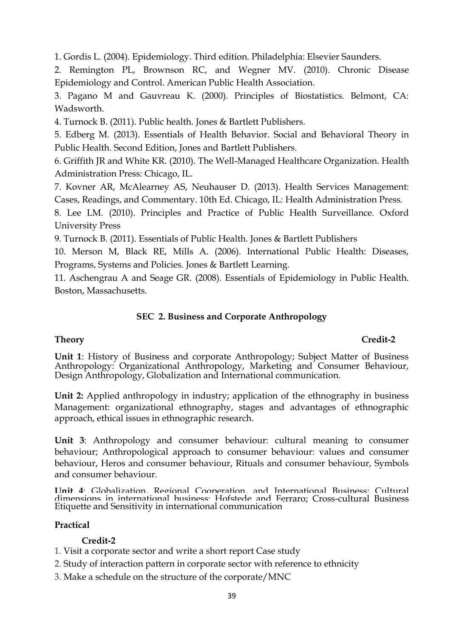1. Gordis L. (2004). Epidemiology. Third edition. Philadelphia: Elsevier Saunders.

2. Remington PL, Brownson RC, and Wegner MV. (2010). Chronic Disease Epidemiology and Control. American Public Health Association.

3. Pagano M and Gauvreau K. (2000). Principles of Biostatistics. Belmont, CA: Wadsworth.

4. Turnock B. (2011). Public health. Jones & Bartlett Publishers.

5. Edberg M. (2013). Essentials of Health Behavior. Social and Behavioral Theory in Public Health. Second Edition, Jones and Bartlett Publishers.

6. Griffith JR and White KR. (2010). The Well-Managed Healthcare Organization. Health Administration Press: Chicago, IL.

7. Kovner AR, McAlearney AS, Neuhauser D. (2013). Health Services Management: Cases, Readings, and Commentary. 10th Ed. Chicago, IL: Health Administration Press.

8. Lee LM. (2010). Principles and Practice of Public Health Surveillance. Oxford University Press

9. Turnock B. (2011). Essentials of Public Health. Jones & Bartlett Publishers

10. Merson M, Black RE, Mills A. (2006). International Public Health: Diseases, Programs, Systems and Policies. Jones & Bartlett Learning.

11. Aschengrau A and Seage GR. (2008). Essentials of Epidemiology in Public Health. Boston, Massachusetts.

# **SEC 2. Business and Corporate Anthropology**

# **Theory Credit-2**

**Unit 1**: History of Business and corporate Anthropology; Subject Matter of Business Anthropology: Organizational Anthropology, Marketing and Consumer Behaviour, Design Anthropology, Globalization and International communication.

**Unit 2:** Applied anthropology in industry; application of the ethnography in business Management: organizational ethnography, stages and advantages of ethnographic approach, ethical issues in ethnographic research.

**Unit 3**: Anthropology and consumer behaviour: cultural meaning to consumer behaviour; Anthropological approach to consumer behaviour: values and consumer behaviour, Heros and consumer behaviour, Rituals and consumer behaviour, Symbols and consumer behaviour.

**Unit 4**: Globalization, Regional Cooperation, and International Business; Cultural dimensions in international business: Hofstede and Ferraro; Cross-cultural Business Etiquette and Sensitivity in international communication

# **Practical**

# **Credit-2**

- 1. Visit a corporate sector and write a short report Case study
- 2. Study of interaction pattern in corporate sector with reference to ethnicity
- 3. Make a schedule on the structure of the corporate/MNC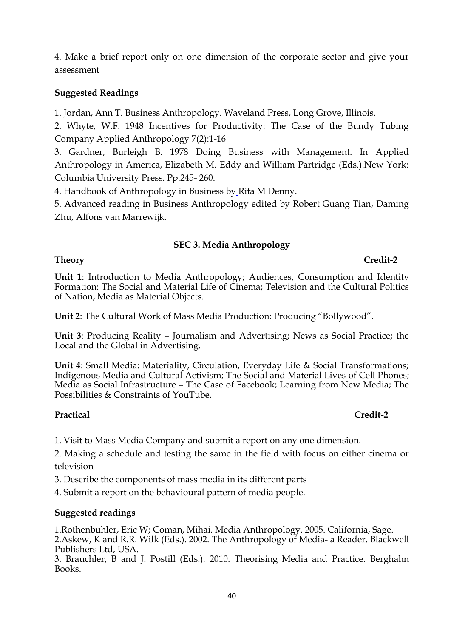4. Make a brief report only on one dimension of the corporate sector and give your assessment

# **Suggested Readings**

1. Jordan, Ann T. Business Anthropology. Waveland Press, Long Grove, Illinois.

2. Whyte, W.F. 1948 Incentives for Productivity: The Case of the Bundy Tubing Company Applied Anthropology 7(2):1-16

3. Gardner, Burleigh B. 1978 Doing Business with Management. In Applied Anthropology in America, Elizabeth M. Eddy and William Partridge (Eds.).New York: Columbia University Press. Pp.245- 260.

4. Handbook of Anthropology in Business by Rita M Denny.

5. Advanced reading in Business Anthropology edited by Robert Guang Tian, Daming Zhu, Alfons van Marrewijk.

### **SEC 3. Media Anthropology**

### **Theory Credit-2**

**Unit 1**: Introduction to Media Anthropology; Audiences, Consumption and Identity Formation: The Social and Material Life of Cinema; Television and the Cultural Politics of Nation, Media as Material Objects.

**Unit 2**: The Cultural Work of Mass Media Production: Producing "Bollywood".

**Unit 3**: Producing Reality – Journalism and Advertising; News as Social Practice; the Local and the Global in Advertising.

**Unit 4**: Small Media: Materiality, Circulation, Everyday Life & Social Transformations; Indigenous Media and Cultural Activism; The Social and Material Lives of Cell Phones; Media as Social Infrastructure – The Case of Facebook; Learning from New Media; The Possibilities & Constraints of YouTube.

### **Practical Credit-2**

1. Visit to Mass Media Company and submit a report on any one dimension.

2. Making a schedule and testing the same in the field with focus on either cinema or television

3. Describe the components of mass media in its different parts

4. Submit a report on the behavioural pattern of media people.

### **Suggested readings**

1.Rothenbuhler, Eric W; Coman, Mihai. Media Anthropology. 2005. California, Sage. 2.Askew, K and R.R. Wilk (Eds.). 2002. The Anthropology of Media- a Reader. Blackwell Publishers Ltd, USA.

3. Brauchler, B and J. Postill (Eds.). 2010. Theorising Media and Practice. Berghahn Books.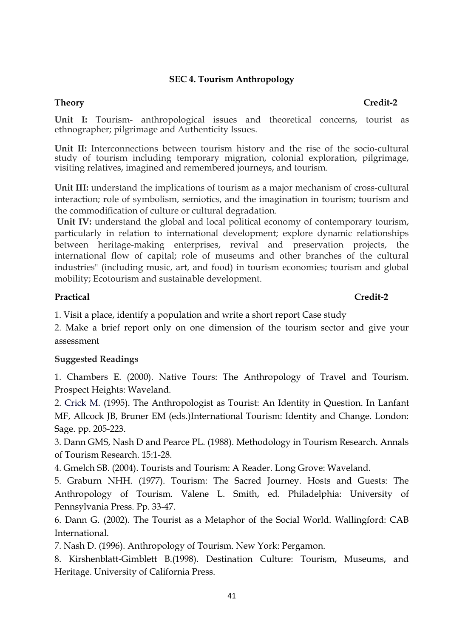# **SEC 4. Tourism Anthropology**

**Unit I:** Tourism- anthropological issues and theoretical concerns, tourist as ethnographer; pilgrimage and Authenticity Issues.

**Unit II:** Interconnections between tourism history and the rise of the socio-cultural study of tourism including temporary migration, colonial exploration, pilgrimage, visiting relatives, imagined and remembered journeys, and tourism.

**Unit III:** understand the implications of tourism as a major mechanism of cross-cultural interaction; role of symbolism, semiotics, and the imagination in tourism; tourism and the commodification of culture or cultural degradation.

**Unit IV:** understand the global and local political economy of contemporary tourism, particularly in relation to international development; explore dynamic relationships between heritage-making enterprises, revival and preservation projects, the international flow of capital; role of museums and other branches of the cultural industries" (including music, art, and food) in tourism economies; tourism and global mobility; Ecotourism and sustainable development.

### **Practical Credit-2**

1. Visit a place, identify a population and write a short report Case study

2. Make a brief report only on one dimension of the tourism sector and give your assessment

# **Suggested Readings**

1. Chambers E. (2000). Native Tours: The Anthropology of Travel and Tourism. Prospect Heights: Waveland.

2. Crick M. (1995). The Anthropologist as Tourist: An Identity in Question. In Lanfant MF, Allcock JB, Bruner EM (eds.)International Tourism: Identity and Change. London: Sage. pp. 205-223.

3. Dann GMS, Nash D and Pearce PL. (1988). Methodology in Tourism Research. Annals of Tourism Research. 15:1-28.

4. Gmelch SB. (2004). Tourists and Tourism: A Reader. Long Grove: Waveland.

5. Graburn NHH. (1977). Tourism: The Sacred Journey. Hosts and Guests: The Anthropology of Tourism. Valene L. Smith, ed. Philadelphia: University of Pennsylvania Press. Pp. 33-47.

6. Dann G. (2002). The Tourist as a Metaphor of the Social World. Wallingford: CAB International.

7. Nash D. (1996). Anthropology of Tourism. New York: Pergamon.

8. Kirshenblatt-Gimblett B.(1998). Destination Culture: Tourism, Museums, and Heritage. University of California Press.

### **Theory Credit-2**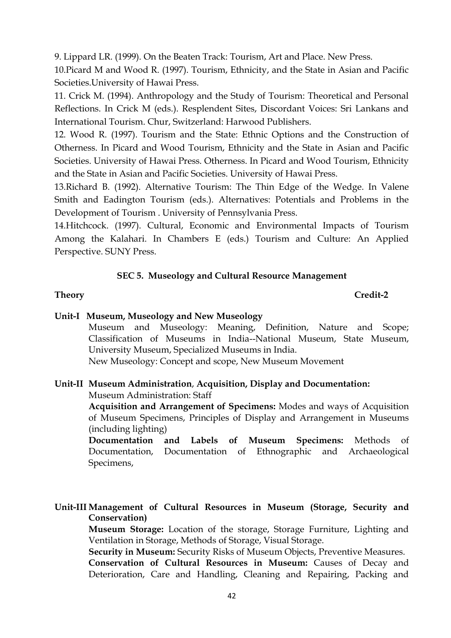9. Lippard LR. (1999). On the Beaten Track: Tourism, Art and Place. New Press.

10.Picard M and Wood R. (1997). Tourism, Ethnicity, and the State in Asian and Pacific Societies.University of Hawai Press.

11. Crick M. (1994). Anthropology and the Study of Tourism: Theoretical and Personal Reflections. In Crick M (eds.). Resplendent Sites, Discordant Voices: Sri Lankans and International Tourism. Chur, Switzerland: Harwood Publishers.

12. Wood R. (1997). Tourism and the State: Ethnic Options and the Construction of Otherness. In Picard and Wood Tourism, Ethnicity and the State in Asian and Pacific Societies. University of Hawai Press. Otherness. In Picard and Wood Tourism, Ethnicity and the State in Asian and Pacific Societies. University of Hawai Press.

13.Richard B. (1992). Alternative Tourism: The Thin Edge of the Wedge. In Valene Smith and Eadington Tourism (eds.). Alternatives: Potentials and Problems in the Development of Tourism . University of Pennsylvania Press.

14.Hitchcock. (1997). Cultural, Economic and Environmental Impacts of Tourism Among the Kalahari. In Chambers E (eds.) Tourism and Culture: An Applied Perspective. SUNY Press.

# **SEC 5. Museology and Cultural Resource Management**

### **Theory Credit-2**

# **Unit-I Museum, Museology and New Museology**

Museum and Museology: Meaning, Definition, Nature and Scope; Classification of Museums in India--National Museum, State Museum, University Museum, Specialized Museums in India.

New Museology: Concept and scope, New Museum Movement

### **Unit-II Museum Administration**, **Acquisition, Display and Documentation:** Museum Administration: Staff

**Acquisition and Arrangement of Specimens:** Modes and ways of Acquisition of Museum Specimens, Principles of Display and Arrangement in Museums (including lighting)

**Documentation and Labels of Museum Specimens:** Methods of Documentation, Documentation of Ethnographic and Archaeological Specimens,

**Unit-III Management of Cultural Resources in Museum (Storage, Security and Conservation)**

**Museum Storage:** Location of the storage, Storage Furniture, Lighting and Ventilation in Storage, Methods of Storage, Visual Storage.

**Security in Museum:** Security Risks of Museum Objects, Preventive Measures.

**Conservation of Cultural Resources in Museum:** Causes of Decay and Deterioration, Care and Handling, Cleaning and Repairing, Packing and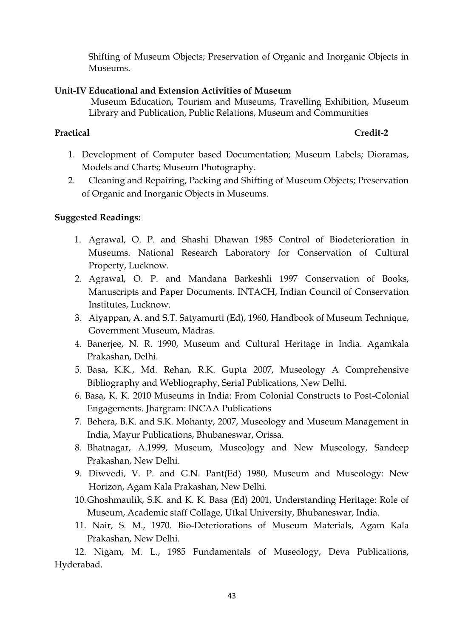Shifting of Museum Objects; Preservation of Organic and Inorganic Objects in Museums.

### **Unit-IV Educational and Extension Activities of Museum**

Museum Education, Tourism and Museums, Travelling Exhibition, Museum Library and Publication, Public Relations, Museum and Communities

# **Practical Credit-2**

- 1. Development of Computer based Documentation; Museum Labels; Dioramas, Models and Charts; Museum Photography.
- 2. Cleaning and Repairing, Packing and Shifting of Museum Objects; Preservation of Organic and Inorganic Objects in Museums.

# **Suggested Readings:**

- 1. Agrawal, O. P. and Shashi Dhawan 1985 Control of Biodeterioration in Museums. National Research Laboratory for Conservation of Cultural Property, Lucknow.
- 2. Agrawal, O. P. and Mandana Barkeshli 1997 Conservation of Books, Manuscripts and Paper Documents. INTACH, Indian Council of Conservation Institutes, Lucknow.
- 3. Aiyappan, A. and S.T. Satyamurti (Ed), 1960, Handbook of Museum Technique, Government Museum, Madras.
- 4. Banerjee, N. R. 1990, Museum and Cultural Heritage in India. Agamkala Prakashan, Delhi.
- 5. Basa, K.K., Md. Rehan, R.K. Gupta 2007, Museology A Comprehensive Bibliography and Webliography, Serial Publications, New Delhi.
- 6. Basa, K. K. 2010 Museums in India: From Colonial Constructs to Post-Colonial Engagements. Jhargram: INCAA Publications
- 7. Behera, B.K. and S.K. Mohanty, 2007, Museology and Museum Management in India, Mayur Publications, Bhubaneswar, Orissa.
- 8. Bhatnagar, A.1999, Museum, Museology and New Museology, Sandeep Prakashan, New Delhi.
- 9. Diwvedi, V. P. and G.N. Pant(Ed) 1980, Museum and Museology: New Horizon, Agam Kala Prakashan, New Delhi.
- 10.Ghoshmaulik, S.K. and K. K. Basa (Ed) 2001, Understanding Heritage: Role of Museum, Academic staff Collage, Utkal University, Bhubaneswar, India.
- 11. Nair, S. M., 1970. Bio-Deteriorations of Museum Materials, Agam Kala Prakashan, New Delhi.

12. Nigam, M. L., 1985 Fundamentals of Museology, Deva Publications, Hyderabad.